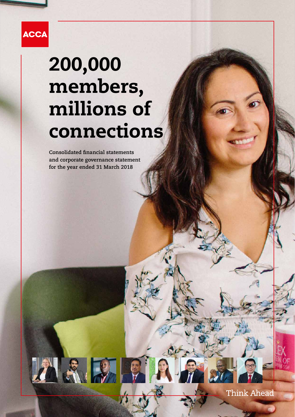

# 200,000 members, millions of connections

**Consolidated financial statements and corporate governance statement for the year ended 31 March 2018**

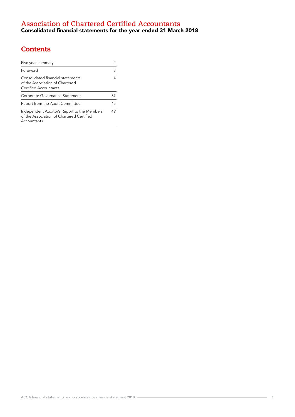# **Contents**

| Five year summary                                                                                       | 2  |
|---------------------------------------------------------------------------------------------------------|----|
| Foreword                                                                                                | 3  |
| Consolidated financial statements<br>of the Association of Chartered<br>Certified Accountants           |    |
| Corporate Governance Statement                                                                          | 37 |
| Report from the Audit Committee                                                                         | 45 |
| Independent Auditor's Report to the Members<br>of the Association of Chartered Certified<br>Accountants | 49 |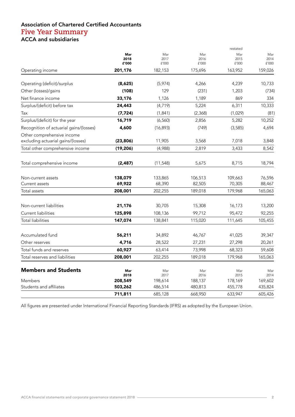## Association of Chartered Certified Accountants **Five Year Summary**  ACCA and subsidiaries

|                                         |             |             |             | restated    |             |
|-----------------------------------------|-------------|-------------|-------------|-------------|-------------|
|                                         | Mar<br>2018 | Mar<br>2017 | Mar<br>2016 | Mar<br>2015 | Mar<br>2014 |
|                                         | £'000       | £'000       | £'000       | £'000       | £'000       |
| Operating income                        | 201,176     | 182,153     | 175,696     | 163,952     | 159,026     |
| Operating (deficit)/surplus             | (8,625)     | (5,974)     | 4,266       | 4,239       | 10,733      |
| Other (losses)/gains                    | (108)       | 129         | (231)       | 1,203       | (734)       |
| Net finance income                      | 33,176      | 1,126       | 1,189       | 869         | 334         |
| Surplus/(deficit) before tax            | 24,443      | (4,719)     | 5,224       | 6,311       | 10,333      |
| Tax                                     | (7, 724)    | (1, 841)    | (2,368)     | (1,029)     | (81)        |
| Surplus/(deficit) for the year          | 16,719      | (6, 560)    | 2,856       | 5,282       | 10,252      |
| Recognition of actuarial gains/(losses) | 4,600       | (16, 893)   | (749)       | (3,585)     | 4,694       |
| Other comprehensive income              |             |             |             |             |             |
| excluding actuarial gains/(losses)      | (23, 806)   | 11,905      | 3,568       | 7,018       | 3,848       |
| Total other comprehensive income        | (19, 206)   | (4,988)     | 2,819       | 3,433       | 8,542       |
| Total comprehensive income              | (2, 487)    | (11, 548)   | 5,675       | 8,715       | 18,794      |
| Non-current assets                      | 138,079     | 133,865     | 106,513     | 109,663     | 76,596      |
| Current assets                          | 69,922      | 68,390      | 82,505      | 70,305      | 88,467      |
| Total assets                            | 208,001     | 202,255     | 189,018     | 179,968     | 165,063     |
| Non-current liabilities                 | 21,176      | 30,705      | 15,308      | 16,173      | 13,200      |
| Current liabilities                     | 125,898     | 108,136     | 99,712      | 95,472      | 92,255      |
| <b>Total liabilities</b>                | 147,074     | 138,841     | 115,020     | 111,645     | 105,455     |
| Accumulated fund                        | 56,211      | 34,892      | 46,767      | 41,025      | 39,347      |
| Other reserves                          | 4,716       | 28,522      | 27,231      | 27,298      | 20,261      |
| Total funds and reserves                | 60,927      | 63,414      | 73,998      | 68,323      | 59,608      |
| Total reserves and liabilities          | 208,001     | 202,255     | 189,018     | 179,968     | 165,063     |
| <b>Members and Students</b>             | Mar<br>2018 | Mar<br>2017 | Mar<br>2016 | Mar<br>2015 | Mar<br>2014 |
| Members                                 | 208,549     | 198,614     | 188,137     | 178,169     | 169,602     |
| Students and affiliates                 | 503,262     | 486,514     | 480,813     | 455,778     | 435,824     |
|                                         | 711,811     | 685,128     | 668,950     | 633,947     | 605,426     |

All figures are presented under International Financial Reporting Standards (IFRS) as adopted by the European Union.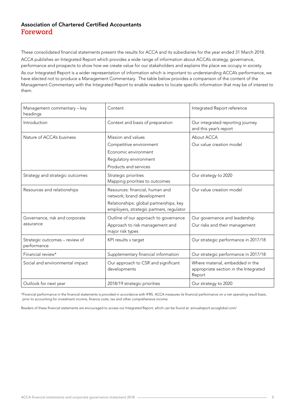## Association of Chartered Certified Accountants **Foreword**

These consolidated financial statements present the results for ACCA and its subsidiaries for the year ended 31 March 2018. ACCA publishes an Integrated Report which provides a wide range of information about ACCA's strategy, governance, performance and prospects to show how we create value for our stakeholders and explains the place we occupy in society.

As our Integrated Report is a wider representation of information which is important to understanding ACCA's performance, we have elected not to produce a Management Commentary. The table below provides a comparison of the content of the Management Commentary with the Integrated Report to enable readers to locate specific information that may be of interest to them.

| Management commentary - key<br>headings       | Content                                                                                                                                              | Integrated Report reference                                                        |
|-----------------------------------------------|------------------------------------------------------------------------------------------------------------------------------------------------------|------------------------------------------------------------------------------------|
| Introduction                                  | Context and basis of preparation                                                                                                                     | Our integrated reporting journey<br>and this year's report                         |
| Nature of ACCA's business                     | Mission and values<br>Competitive environment<br>Economic environment<br>Regulatory environment<br>Products and services                             | About ACCA<br>Our value creation model                                             |
| Strategy and strategic outcomes               | Strategic priorities<br>Mapping priorities to outcomes                                                                                               | Our strategy to 2020                                                               |
| Resources and relationships                   | Resources: financial, human and<br>network; brand development<br>Relationships: global partnerships, key<br>employers, strategic partners, regulator | Our value creation model                                                           |
| Governance, risk and corporate<br>assurance   | Outline of our approach to governance<br>Approach to risk management and<br>major risk types                                                         | Our governance and leadership<br>Our risks and their management                    |
| Strategic outcomes - review of<br>performance | KPI results v target                                                                                                                                 | Our strategic performance in 2017/18                                               |
| Financial review*                             | Supplementary financial information                                                                                                                  | Our strategic performance in 2017/18                                               |
| Social and environmental impact               | Our approach to CSR and significant<br>developments                                                                                                  | Where material, embedded in the<br>appropriate section in the Integrated<br>Report |
| Outlook for next year                         | 2018/19 strategic priorities                                                                                                                         | Our strategy to 2020                                                               |

\*Financial performance in the financial statements is provided in accordance with IFRS. ACCA measures its financial performance on a net operating result basis, prior to accounting for investment income, finance costs, tax and other comprehensive income.

Readers of these financial statements are encouraged to access our Integrated Report, which can be found at: annualreport.accaglobal.com/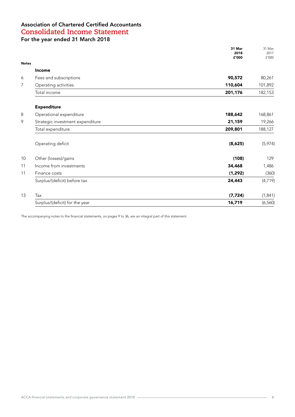|              |                                  | 31 Mar<br>2018 | 31 Mar<br>2017 |
|--------------|----------------------------------|----------------|----------------|
| <b>Notes</b> |                                  | £'000          | f'000          |
|              | <b>Income</b>                    |                |                |
| 6            | Fees and subscriptions           | 90,572         | 80,261         |
| 7            | Operating activities             | 110,604        | 101,892        |
|              | Total income                     | 201,176        | 182,153        |
|              | <b>Expenditure</b>               |                |                |
| 8            | Operational expenditure          | 188,642        | 168,861        |
| 9            | Strategic investment expenditure | 21,159         | 19,266         |
|              | Total expenditure                | 209,801        | 188,127        |
|              | Operating deficit                | (8,625)        | (5,974)        |
| 10           | Other (losses)/gains             | (108)          | 129            |
| 11           | Income from investments          | 34,468         | 1,486          |
| 11           | Finance costs                    | (1, 292)       | (360)          |
|              | Surplus/(deficit) before tax     | 24,443         | (4, 719)       |
| 13           | Tax                              | (7, 724)       | (1, 841)       |
|              | Surplus/(deficit) for the year   | 16,719         | (6, 560)       |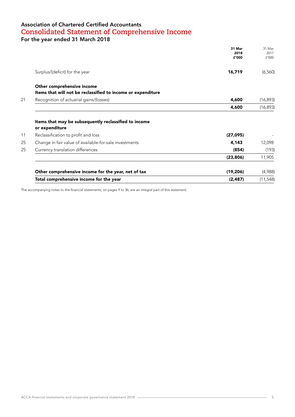## Association of Chartered Certified Accountants **Consolidated Statement of Comprehensive Income**

For the year ended 31 March 2018

|                                                                                                                                                                                                              | 31 Mar<br>2018<br>£'000 | 31 Mar<br>2017<br>f'000    |
|--------------------------------------------------------------------------------------------------------------------------------------------------------------------------------------------------------------|-------------------------|----------------------------|
| Surplus/(deficit) for the year                                                                                                                                                                               | 16,719                  | (6,560)                    |
| Other comprehensive income<br>Items that will not be reclassified to income or expenditure                                                                                                                   |                         |                            |
| Recognition of actuarial gains/(losses)                                                                                                                                                                      | 4,600                   | (16, 893)                  |
|                                                                                                                                                                                                              | 4,600                   | (16, 893)                  |
|                                                                                                                                                                                                              |                         |                            |
|                                                                                                                                                                                                              |                         |                            |
|                                                                                                                                                                                                              | (27,095)                |                            |
|                                                                                                                                                                                                              | 4,143                   |                            |
|                                                                                                                                                                                                              | (854)                   |                            |
| Items that may be subsequently reclassified to income<br>or expenditure<br>Reclassification to profit and loss<br>Change in fair value of available-for-sale investments<br>Currency translation differences | (23, 806)               | 11,905                     |
| Other comprehensive income for the year, net of tax                                                                                                                                                          | (19, 206)               | 12,098<br>(193)<br>(4,988) |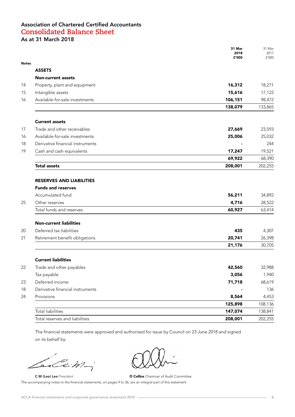## Association of Chartered Certified Accountants **Consolidated Balance Sheet** As at 31 March 2018

| <b>Notes</b><br><b>ASSETS</b><br><b>Non-current assets</b><br>16,312<br>Property, plant and equipment<br>Intangible assets<br>15,616<br>Available-for-sale investments<br>106,151<br>138,079<br><b>Current assets</b><br>Trade and other receivables<br>27,669<br>Available-for-sale investments<br>25,006<br>Derivative financial instruments<br>Cash and cash equivalents<br>17,247<br>69,922<br><b>Total assets</b><br>208,001<br><b>RESERVES AND LIABILITIES</b><br><b>Funds and reserves</b><br>Accumulated fund<br>56,211<br>Other reserves<br>4,716<br>Total funds and reserves<br>60,927<br><b>Non-current liabilities</b><br>Deferred tax liabilities<br>435<br>Retirement benefit obligations<br>20,741<br>21,176<br><b>Current liabilities</b><br>42,560<br>Trade and other payables<br>Tax payable<br>3,056<br>Deferred income<br>71,718<br>Derivative financial instruments<br>Provisions<br>8,564<br>125,898<br>Total liabilities<br>147,074 |                                | 31 Mar<br>2018<br>£'000 | 31 Mar<br>2017<br>£'000 |
|------------------------------------------------------------------------------------------------------------------------------------------------------------------------------------------------------------------------------------------------------------------------------------------------------------------------------------------------------------------------------------------------------------------------------------------------------------------------------------------------------------------------------------------------------------------------------------------------------------------------------------------------------------------------------------------------------------------------------------------------------------------------------------------------------------------------------------------------------------------------------------------------------------------------------------------------------------|--------------------------------|-------------------------|-------------------------|
|                                                                                                                                                                                                                                                                                                                                                                                                                                                                                                                                                                                                                                                                                                                                                                                                                                                                                                                                                            |                                |                         |                         |
|                                                                                                                                                                                                                                                                                                                                                                                                                                                                                                                                                                                                                                                                                                                                                                                                                                                                                                                                                            |                                |                         |                         |
|                                                                                                                                                                                                                                                                                                                                                                                                                                                                                                                                                                                                                                                                                                                                                                                                                                                                                                                                                            |                                |                         |                         |
|                                                                                                                                                                                                                                                                                                                                                                                                                                                                                                                                                                                                                                                                                                                                                                                                                                                                                                                                                            |                                |                         | 18,271                  |
|                                                                                                                                                                                                                                                                                                                                                                                                                                                                                                                                                                                                                                                                                                                                                                                                                                                                                                                                                            |                                |                         | 17,122                  |
|                                                                                                                                                                                                                                                                                                                                                                                                                                                                                                                                                                                                                                                                                                                                                                                                                                                                                                                                                            |                                |                         | 98,472                  |
|                                                                                                                                                                                                                                                                                                                                                                                                                                                                                                                                                                                                                                                                                                                                                                                                                                                                                                                                                            |                                |                         | 133,865                 |
|                                                                                                                                                                                                                                                                                                                                                                                                                                                                                                                                                                                                                                                                                                                                                                                                                                                                                                                                                            |                                |                         |                         |
|                                                                                                                                                                                                                                                                                                                                                                                                                                                                                                                                                                                                                                                                                                                                                                                                                                                                                                                                                            |                                |                         | 23,593                  |
|                                                                                                                                                                                                                                                                                                                                                                                                                                                                                                                                                                                                                                                                                                                                                                                                                                                                                                                                                            |                                |                         | 25,032                  |
|                                                                                                                                                                                                                                                                                                                                                                                                                                                                                                                                                                                                                                                                                                                                                                                                                                                                                                                                                            |                                |                         | 244                     |
|                                                                                                                                                                                                                                                                                                                                                                                                                                                                                                                                                                                                                                                                                                                                                                                                                                                                                                                                                            |                                |                         | 19,521                  |
|                                                                                                                                                                                                                                                                                                                                                                                                                                                                                                                                                                                                                                                                                                                                                                                                                                                                                                                                                            |                                |                         | 68,390                  |
|                                                                                                                                                                                                                                                                                                                                                                                                                                                                                                                                                                                                                                                                                                                                                                                                                                                                                                                                                            |                                |                         | 202,255                 |
|                                                                                                                                                                                                                                                                                                                                                                                                                                                                                                                                                                                                                                                                                                                                                                                                                                                                                                                                                            |                                |                         |                         |
|                                                                                                                                                                                                                                                                                                                                                                                                                                                                                                                                                                                                                                                                                                                                                                                                                                                                                                                                                            |                                |                         |                         |
|                                                                                                                                                                                                                                                                                                                                                                                                                                                                                                                                                                                                                                                                                                                                                                                                                                                                                                                                                            |                                |                         | 34,892                  |
|                                                                                                                                                                                                                                                                                                                                                                                                                                                                                                                                                                                                                                                                                                                                                                                                                                                                                                                                                            |                                |                         | 28,522                  |
|                                                                                                                                                                                                                                                                                                                                                                                                                                                                                                                                                                                                                                                                                                                                                                                                                                                                                                                                                            |                                |                         | 63,414                  |
|                                                                                                                                                                                                                                                                                                                                                                                                                                                                                                                                                                                                                                                                                                                                                                                                                                                                                                                                                            |                                |                         |                         |
|                                                                                                                                                                                                                                                                                                                                                                                                                                                                                                                                                                                                                                                                                                                                                                                                                                                                                                                                                            |                                |                         | 4,307                   |
|                                                                                                                                                                                                                                                                                                                                                                                                                                                                                                                                                                                                                                                                                                                                                                                                                                                                                                                                                            |                                |                         | 26,398                  |
|                                                                                                                                                                                                                                                                                                                                                                                                                                                                                                                                                                                                                                                                                                                                                                                                                                                                                                                                                            |                                |                         | 30,705                  |
|                                                                                                                                                                                                                                                                                                                                                                                                                                                                                                                                                                                                                                                                                                                                                                                                                                                                                                                                                            |                                |                         |                         |
|                                                                                                                                                                                                                                                                                                                                                                                                                                                                                                                                                                                                                                                                                                                                                                                                                                                                                                                                                            |                                |                         | 32,988                  |
|                                                                                                                                                                                                                                                                                                                                                                                                                                                                                                                                                                                                                                                                                                                                                                                                                                                                                                                                                            |                                |                         | 1,940                   |
|                                                                                                                                                                                                                                                                                                                                                                                                                                                                                                                                                                                                                                                                                                                                                                                                                                                                                                                                                            |                                |                         | 68,619                  |
|                                                                                                                                                                                                                                                                                                                                                                                                                                                                                                                                                                                                                                                                                                                                                                                                                                                                                                                                                            |                                |                         | 136                     |
|                                                                                                                                                                                                                                                                                                                                                                                                                                                                                                                                                                                                                                                                                                                                                                                                                                                                                                                                                            |                                |                         | 4,453                   |
|                                                                                                                                                                                                                                                                                                                                                                                                                                                                                                                                                                                                                                                                                                                                                                                                                                                                                                                                                            |                                |                         | 108,136                 |
|                                                                                                                                                                                                                                                                                                                                                                                                                                                                                                                                                                                                                                                                                                                                                                                                                                                                                                                                                            |                                |                         | 138,841                 |
|                                                                                                                                                                                                                                                                                                                                                                                                                                                                                                                                                                                                                                                                                                                                                                                                                                                                                                                                                            | Total reserves and liabilities | 208,001                 | 202,255                 |

The financial statements were approved and authorised for issue by Council on 23 June 2018 and signed on its behalf by:

Leccim-

C M (Leo) Lee President **C** M (Leo) Lee President **O Collins** Chairman of Audit Committee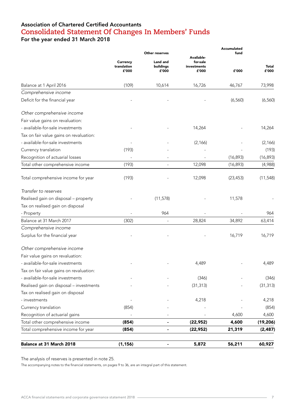## Association of Chartered Certified Accountants **Consolidated Statement Of Changes In Members' Funds** For the year ended 31 March 2018

|                                         |                         |                                         |                                       | Accumulated<br>fund |           |
|-----------------------------------------|-------------------------|-----------------------------------------|---------------------------------------|---------------------|-----------|
|                                         | Currency<br>translation | Other reserves<br>Land and<br>buildings | Available-<br>for-sale<br>investments |                     | Total     |
|                                         | £'000                   | £'000                                   | £'000                                 | £'000               | £'000     |
| Balance at 1 April 2016                 | (109)                   | 10,614                                  | 16,726                                | 46,767              | 73,998    |
| Comprehensive income                    |                         |                                         |                                       |                     |           |
| Deficit for the financial year          |                         |                                         |                                       | (6, 560)            | (6, 560)  |
| Other comprehensive income              |                         |                                         |                                       |                     |           |
| Fair value gains on revaluation:        |                         |                                         |                                       |                     |           |
| - available-for-sale investments        |                         |                                         | 14,264                                |                     | 14,264    |
| Tax on fair value gains on revaluation: |                         |                                         |                                       |                     |           |
| - available-for-sale investments        |                         |                                         | (2, 166)                              |                     | (2, 166)  |
| Currency translation                    | (193)                   |                                         |                                       |                     | (193)     |
| Recognition of actuarial losses         |                         |                                         |                                       | (16, 893)           | (16, 893) |
| Total other comprehensive income        | (193)                   |                                         | 12,098                                | (16, 893)           | (4,988)   |
| Total comprehensive income for year     | (193)                   |                                         | 12,098                                | (23, 453)           | (11, 548) |
| Transfer to reserves                    |                         |                                         |                                       |                     |           |
| Realised gain on disposal - property    |                         | (11, 578)                               |                                       | 11,578              |           |
| Tax on realised gain on disposal        |                         |                                         |                                       |                     |           |
| - Property                              |                         | 964                                     |                                       |                     | 964       |
| Balance at 31 March 2017                | (302)                   |                                         | 28,824                                | 34,892              | 63,414    |
| Comprehensive income                    |                         |                                         |                                       |                     |           |
| Surplus for the financial year          |                         |                                         |                                       | 16,719              | 16,719    |
| Other comprehensive income              |                         |                                         |                                       |                     |           |
| Fair value gains on revaluation:        |                         |                                         |                                       |                     |           |
| - available-for-sale investments        |                         |                                         | 4,489                                 |                     | 4,489     |
| Tax on fair value gains on revaluation: |                         |                                         |                                       |                     |           |
| - available-for-sale investments        |                         |                                         | (346)                                 |                     | (346)     |
| Realised gain on disposal - investments |                         |                                         | (31, 313)                             |                     | (31, 313) |
| Tax on realised gain on disposal        |                         |                                         |                                       |                     |           |
| - investments                           |                         |                                         | 4,218                                 |                     | 4,218     |
| Currency translation                    | (854)                   |                                         |                                       |                     | (854)     |
| Recognition of actuarial gains          |                         |                                         |                                       | 4,600               | 4,600     |
| Total other comprehensive income        | (854)                   |                                         | (22, 952)                             | 4,600               | (19, 206) |
| Total comprehensive income for year     | (854)                   |                                         | (22, 952)                             | 21,319              | (2, 487)  |
| Balance at 31 March 2018                | (1, 156)                |                                         | 5,872                                 | 56,211              | 60,927    |

The analysis of reserves is presented in note 25.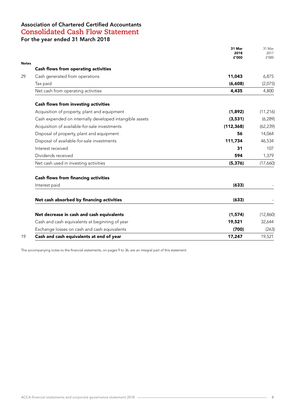## Association of Chartered Certified Accountants **Consolidated Cash Flow Statement** For the year ended 31 March 2018

|                                                         | 31 Mar<br>2018<br>£'000 | 31 Mar<br>2017<br>f'000 |
|---------------------------------------------------------|-------------------------|-------------------------|
|                                                         |                         |                         |
| Cash flows from operating activities                    |                         |                         |
| Cash generated from operations                          | 11,043                  | 6,875                   |
| Tax paid                                                | (6,608)                 | (2,075)                 |
| Net cash from operating activities                      | 4,435                   | 4,800                   |
| Cash flows from investing activities                    |                         |                         |
| Acquisition of property, plant and equipment            | (1,892)                 | (11, 216)               |
| Cash expended on internally developed intangible assets | (3,531)                 | (6, 289)                |
| Acquisition of available-for-sale investments           | (112, 368)              | (62, 239)               |
| Disposal of property, plant and equipment               | 56                      | 14,064                  |
| Disposal of available-for-sale investments              | 111,734                 | 46,534                  |
| Interest received                                       | 31                      | 107                     |
| Dividends received                                      | 594                     | 1,379                   |
| Net cash used in investing activities                   | (5, 376)                | (17,660)                |
| <b>Cash flows from financing activities</b>             |                         |                         |
| Interest paid                                           | (633)                   |                         |
| Net cash absorbed by financing activities               | (633)                   |                         |
| Net decrease in cash and cash equivalents               | (1,574)                 | (12,860)                |
| Cash and cash equivalents at beginning of year          | 19,521                  | 32,644                  |
| Exchange losses on cash and cash equivalents            | (700)                   | (263)                   |
| Cash and cash equivalents at end of year                | 17,247                  | 19,521                  |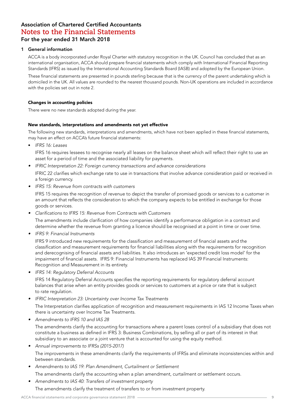#### 1 General information

ACCA is a body incorporated under Royal Charter with statutory recognition in the UK. Council has concluded that as an international organisation, ACCA should prepare financial statements which comply with International Financial Reporting Standards (IFRS) as issued by the International Accounting Standards Board (IASB) and adopted by the European Union.

These financial statements are presented in pounds sterling because that is the currency of the parent undertaking which is domiciled in the UK. All values are rounded to the nearest thousand pounds. Non-UK operations are included in accordance with the policies set out in note 2.

#### Changes in accounting policies

There were no new standards adopted during the year.

#### New standards, interpretations and amendments not yet effective

The following new standards, interpretations and amendments, which have not been applied in these financial statements, may have an effect on ACCA's future financial statements:

• *IFRS 16: Leases*

IFRS 16 requires lessees to recognise nearly all leases on the balance sheet which will reflect their right to use an asset for a period of time and the associated liability for payments.

*• IFRIC Interpretation 22: Foreign currency transactions and advance considerations*

IFRIC 22 clarifies which exchange rate to use in transactions that involve advance consideration paid or received in a foreign currency.

*• IFRS 15: Revenue from contracts with customers*

IFRS 15 requires the recognition of revenue to depict the transfer of promised goods or services to a customer in an amount that reflects the consideration to which the company expects to be entitled in exchange for those goods or services.

• Clarifications to IFRS 15: Revenue from Contracts with Customers

The amendments include clarification of how companies identify a performance obligation in a contract and determine whether the revenue from granting a licence should be recognised at a point in time or over time.

*• IFRS 9: Financial Instruments*

IFRS 9 introduced new requirements for the classification and measurement of financial assets and the classification and measurement requirements for financial liabilities along with the requirements for recognition and derecognising of financial assets and liabilities. It also introduces an 'expected credit loss model' for the impairment of financial assets. IFRS 9: Financial Instruments has replaced IAS 39 Financial Instruments: Recognition and Measurement in its entirety.

*• IFRS 14: Regulatory Deferral Accounts*

IFRS 14 Regulatory Deferral Accounts specifies the reporting requirements for regulatory deferral account balances that arise when an entity provides goods or services to customers at a price or rate that is subject to rate regulation.

*• IFRIC Interpretation 23: Uncertainty over Income Tax Treatments*

The Interpretation clarifies application of recognition and measurement requirements in IAS 12 Income Taxes when there is uncertainty over Income Tax Treatments.

*• Amendments to IFRS 10 and IAS 28*

The amendments clarify the accounting for transactions where a parent loses control of a subsidiary that does not constitute a business as defined in IFRS 3: Business Combinations, by selling all or part of its interest in that subsidiary to an associate or a joint venture that is accounted for using the equity method.

- *• Annual improvements to IFRSs (2015-2017)* The improvements in these amendments clarify the requirements of IFRSs and eliminate inconsistencies within and between standards.
- *• Amendments to IAS 19: Plan Amendment, Curtailment or Settlement*

The amendments clarify the accounting when a plan amendment, curtailment or settlement occurs.

*• Amendments to IAS 40: Transfers of investment property* The amendments clarify the treatment of transfers to or from investment property.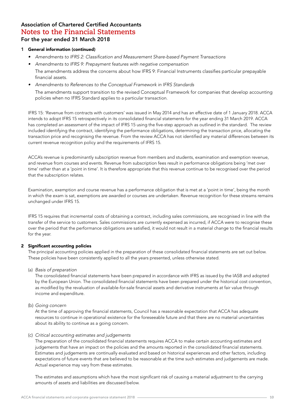#### 1 General information (continued)

- • Amendments to IFRS 2: Classification and Measurement Share-based Payment Transactions
- *• Amendments to IFRS 9: Prepayment features with negative compensation*

The amendments address the concerns about how IFRS 9: Financial Instruments classifies particular prepayable financial assets.

*• Amendments to References to the Conceptual Framework in IFRS Standards*

The amendments support transition to the revised Conceptual Framework for companies that develop accounting policies when no IFRS Standard applies to a particular transaction.

IFRS 15: 'Revenue from contracts with customers' was issued in May 2014 and has an effective date of 1 January 2018. ACCA intends to adopt IFRS 15 retrospectively in its consolidated financial statements for the year ending 31 March 2019. ACCA has completed an assessment of the impact of IFRS 15 using the five-step approach as outlined in the standard. The review included identifying the contract, identifying the performance obligations, determining the transaction price, allocating the transaction price and recognising the revenue. From the review ACCA has not identified any material differences between its current revenue recognition policy and the requirements of IFRS 15.

ACCA's revenue is predominantly subscription revenue from members and students, examination and exemption revenue, and revenue from courses and events. Revenue from subscription fees result in performance obligations being 'met over time' rather than at a 'point in time'. It is therefore appropriate that this revenue continue to be recognised over the period that the subscription relates.

Examination, exemption and course revenue has a performance obligation that is met at a 'point in time', being the month in which the exam is sat, exemptions are awarded or courses are undertaken. Revenue recognition for these streams remains unchanged under IFRS 15.

IFRS 15 requires that incremental costs of obtaining a contract, including sales commissions, are recognised in line with the transfer of the service to customers. Sales commissions are currently expensed as incurred, if ACCA were to recognise these over the period that the performance obligations are satisfied, it would not result in a material change to the financial results for the year.

#### 2 Significant accounting policies

The principal accounting policies applied in the preparation of these consolidated financial statements are set out below. These policies have been consistently applied to all the years presented, unless otherwise stated.

#### (a) *Basis of preparation*

The consolidated financial statements have been prepared in accordance with IFRS as issued by the IASB and adopted by the European Union. The consolidated financial statements have been prepared under the historical cost convention, as modified by the revaluation of available-for-sale financial assets and derivative instruments at fair value through income and expenditure.

#### (b) *Going concern*

At the time of approving the financial statements, Council has a reasonable expectation that ACCA has adequate resources to continue in operational existence for the foreseeable future and that there are no material uncertainties about its ability to continue as a going concern.

#### (c) *Critical accounting estimates and judgements*

The preparation of the consolidated financial statements requires ACCA to make certain accounting estimates and judgements that have an impact on the policies and the amounts reported in the consolidated financial statements. Estimates and judgements are continually evaluated and based on historical experiences and other factors, including expectations of future events that are believed to be reasonable at the time such estimates and judgements are made. Actual experience may vary from these estimates.

The estimates and assumptions which have the most significant risk of causing a material adjustment to the carrying amounts of assets and liabilities are discussed below.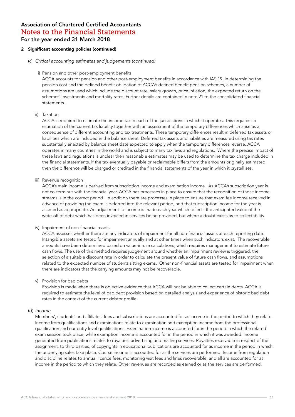#### 2 Significant accounting policies (continued)

- (c) *Critical accounting estimates and judgements (continued)*
	- i) Pension and other post-employment benefits

ACCA accounts for pension and other post-employment benefits in accordance with IAS 19. In determining the pension cost and the defined benefit obligation of ACCA's defined benefit pension schemes, a number of assumptions are used which include the discount rate, salary growth, price inflation, the expected return on the schemes' investments and mortality rates. Further details are contained in note 21 to the consolidated financial statements.

#### ii) Taxation

ACCA is required to estimate the income tax in each of the jurisdictions in which it operates. This requires an estimation of the current tax liability together with an assessment of the temporary differences which arise as a consequence of different accounting and tax treatments. These temporary differences result in deferred tax assets or liabilities which are included in the balance sheet. Deferred tax assets and liabilities are measured using tax rates substantially enacted by balance sheet date expected to apply when the temporary differences reverse. ACCA operates in many countries in the world and is subject to many tax laws and regulations. Where the precise impact of these laws and regulations is unclear then reasonable estimates may be used to determine the tax charge included in the financial statements. If the tax eventually payable or reclaimable differs from the amounts originally estimated then the difference will be charged or credited in the financial statements of the year in which it crystallises.

iii) Revenue recognition

ACCA's main income is derived from subscription income and examination income. As ACCA's subscription year is not co-terminus with the financial year, ACCA has processes in place to ensure that the recognition of those income streams is in the correct period. In addition there are processes in place to ensure that exam fee income received in advance of providing the exam is deferred into the relevant period, and that subscription income for the year is accrued as appropriate. An adjustment to income is made each year which reflects the anticipated value of the write-off of debt which has been invoiced in services being provided, but where a doubt exists as to collectability.

iv) Impairment of non-financial assets

ACCA assesses whether there are any indicators of impairment for all non-financial assets at each reporting date. Intangible assets are tested for impairment annually and at other times when such indicators exist. The recoverable amounts have been determined based on value-in-use calculations, which requires management to estimate future cash flows. The use of this method requires judgement around whether an impairment review is triggered, the selection of a suitable discount rate in order to calculate the present value of future cash flows, and assumptions related to the expected number of students sitting exams. Other non-financial assets are tested for impairment when there are indicators that the carrying amounts may not be recoverable.

v) Provision for bad debts

Provision is made when there is objective evidence that ACCA will not be able to collect certain debts. ACCA is required to estimate the level of bad debt provision based on detailed analysis and experience of historic bad debt rates in the context of the current debtor profile.

#### (d) *Income*

Members', students' and affiliates' fees and subscriptions are accounted for as income in the period to which they relate. Income from qualifications and examinations relate to examination and exemption income from the professional qualification and our entry level qualifications. Examination income is accounted for in the period in which the related exam session took place, while exemption income is accounted for in the period in which it was awarded. Income generated from publications relates to royalties, advertising and mailing services. Royalties receivable in respect of the assignment, to third parties, of copyrights in educational publications are accounted for as income in the period in which the underlying sales take place. Course income is accounted for as the services are performed. Income from regulation and discipline relates to annual licence fees, monitoring visit fees and fines recoverable, and all are accounted for as income in the period to which they relate. Other revenues are recorded as earned or as the services are performed.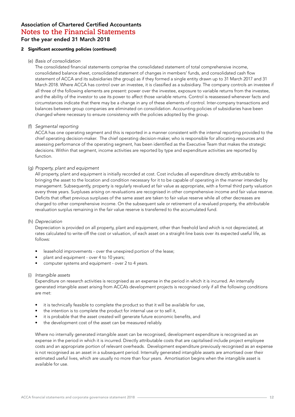#### 2 Significant accounting policies (continued)

#### (e) *Basis of consolidation*

The consolidated financial statements comprise the consolidated statement of total comprehensive income, consolidated balance sheet, consolidated statement of changes in members' funds, and consolidated cash flow statement of ACCA and its subsidiaries (the group) as if they formed a single entity drawn up to 31 March 2017 and 31 March 2018. Where ACCA has control over an investee, it is classified as a subsidiary. The company controls an investee if all three of the following elements are present: power over the investee, exposure to variable returns from the investee, and the ability of the investor to use its power to affect those variable returns. Control is reassessed whenever facts and circumstances indicate that there may be a change in any of these elements of control. Inter-company transactions and balances between group companies are eliminated on consolidation. Accounting policies of subsidiaries have been changed where necessary to ensure consistency with the policies adopted by the group.

#### (f) *Segmental reporting*

ACCA has one operating segment and this is reported in a manner consistent with the internal reporting provided to the chief operating decision-maker. The chief operating decision-maker, who is responsible for allocating resources and assessing performance of the operating segment, has been identified as the Executive Team that makes the strategic decisions. Within that segment, income activities are reported by type and expenditure activities are reported by function.

#### (g) *Property, plant and equipment*

All property, plant and equipment is initially recorded at cost. Cost includes all expenditure directly attributable to bringing the asset to the location and condition necessary for it to be capable of operating in the manner intended by management. Subsequently, property is regularly revalued at fair value as appropriate, with a formal third party valuation every three years. Surpluses arising on revaluations are recognised in other comprehensive income and fair value reserve. Deficits that offset previous surpluses of the same asset are taken to fair value reserve while all other decreases are charged to other comprehensive income. On the subsequent sale or retirement of a revalued property, the attributable revaluation surplus remaining in the fair value reserve is transferred to the accumulated fund.

#### (h) *Depreciation*

Depreciation is provided on all property, plant and equipment, other than freehold land which is not depreciated, at rates calculated to write-off the cost or valuation, of each asset on a straight-line basis over its expected useful life, as follows:

- leasehold improvements over the unexpired portion of the lease;
- plant and equipment over 4 to 10 years;
- computer systems and equipment over 2 to 4 years.

#### (i) Intangible assets

Expenditure on research activities is recognised as an expense in the period in which it is incurred. An internally generated intangible asset arising from ACCA's development projects is recognised only if all the following conditions are met:

- it is technically feasible to complete the product so that it will be available for use,
- the intention is to complete the product for internal use or to sell it,
- it is probable that the asset created will generate future economic benefits, and
- the development cost of the asset can be measured reliably.

Where no internally generated intangible asset can be recognised, development expenditure is recognised as an expense in the period in which it is incurred. Directly attributable costs that are capitalised include project employee costs and an appropriate portion of relevant overheads. Development expenditure previously recognised as an expense is not recognised as an asset in a subsequent period. Internally generated intangible assets are amortised over their estimated useful lives, which are usually no more than four years. Amortisation begins when the intangible asset is available for use.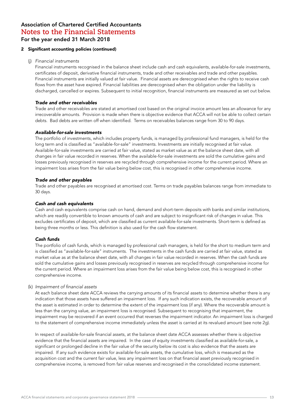#### 2 Significant accounting policies (continued)

#### (j) *Financial instruments*

Financial instruments recognised in the balance sheet include cash and cash equivalents, available-for-sale investments, certificates of deposit, derivative financial instruments, trade and other receivables and trade and other payables. Financial instruments are initially valued at fair value. Financial assets are derecognised when the rights to receive cash flows from the asset have expired. Financial liabilities are derecognised when the obligation under the liability is discharged, cancelled or expires. Subsequent to initial recognition, financial instruments are measured as set out below.

#### *Trade and other receivables*

Trade and other receivables are stated at amortised cost based on the original invoice amount less an allowance for any irrecoverable amounts. Provision is made when there is objective evidence that ACCA will not be able to collect certain debts. Bad debts are written off when identified. Terms on receivables balances range from 30 to 90 days.

#### *Available-for-sale investments*

The portfolio of investments, which includes property funds, is managed by professional fund managers, is held for the long term and is classified as "available-for-sale" investments. Investments are initially recognised at fair value. Available-for-sale investments are carried at fair value, stated as market value as at the balance sheet date, with all changes in fair value recorded in reserves. When the available-for-sale investments are sold the cumulative gains and losses previously recognised in reserves are recycled through comprehensive income for the current period. Where an impairment loss arises from the fair value being below cost, this is recognised in other comprehensive income.

#### *Trade and other payables*

Trade and other payables are recognised at amortised cost. Terms on trade payables balances range from immediate to 30 days.

#### *Cash and cash equivalents*

Cash and cash equivalents comprise cash on hand, demand and short-term deposits with banks and similar institutions, which are readily convertible to known amounts of cash and are subject to insignificant risk of changes in value. This excludes certificates of deposit, which are classified as current available-for-sale investments. Short-term is defined as being three months or less. This definition is also used for the cash flow statement.

#### *Cash funds*

The portfolio of cash funds, which is managed by professional cash managers, is held for the short to medium term and is classified as "available-for-sale" instruments. The investments in the cash funds are carried at fair value, stated as market value as at the balance sheet date, with all changes in fair value recorded in reserves. When the cash funds are sold the cumulative gains and losses previously recognised in reserves are recycled through comprehensive income for the current period. Where an impairment loss arises from the fair value being below cost, this is recognised in other comprehensive income.

#### (k) Impairment of financial assets

At each balance sheet date ACCA reviews the carrying amounts of its financial assets to determine whether there is any indication that those assets have suffered an impairment loss. If any such indication exists, the recoverable amount of the asset is estimated in order to determine the extent of the impairment loss (if any). Where the recoverable amount is less than the carrying value, an impairment loss is recognised. Subsequent to recognising that impairment, the impairment may be recovered if an event occurred that reverses the impairment indicator. An impairment loss is charged to the statement of comprehensive income immediately unless the asset is carried at its revalued amount (see note 2g).

In respect of available-for-sale financial assets, at the balance sheet date ACCA assesses whether there is objective evidence that the financial assets are impaired. In the case of equity investments classified as available-for-sale, a significant or prolonged decline in the fair value of the security below its cost is also evidence that the assets are impaired. If any such evidence exists for available-for-sale assets, the cumulative loss, which is measured as the acquisition cost and the current fair value, less any impairment loss on that financial asset previously recognised in comprehensive income, is removed from fair value reserves and recognised in the consolidated income statement.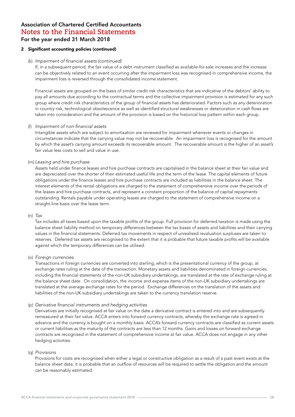#### 2 Significant accounting policies (continued)

#### (k) Impairment of financial assets (continued)

If, in a subsequent period, the fair value of a debt instrument classified as available-for-sale increases and the increase can be objectively related to an event occurring after the impairment loss was recognised in comprehensive income, the impairment loss is reversed through the consolidated income statement.

Financial assets are grouped on the basis of similar credit risk characteristics that are indicative of the debtors' ability to pay all amounts due according to the contractual terms and the collective impairment provision is estimated for any such group where credit risk characteristics of the group of financial assets has deteriorated. Factors such as any deterioration in country risk, technological obsolescence as well as identified structural weaknesses or deterioration in cash flows are taken into consideration and the amount of the provision is based on the historical loss pattern within each group.

#### (l) Impairment of non-financial assets

Intangible assets which are subject to amortisation are reviewed for impairment whenever events or changes in circumstances indicate that the carrying value may not be recoverable. An impairment loss is recognised for the amount by which the asset's carrying amount exceeds its recoverable amount. The recoverable amount is the higher of an asset's fair value less costs to sell and value in use.

(m) *Leasing and hire purchase*

Assets held under finance leases and hire purchase contracts are capitalised in the balance sheet at their fair value and are depreciated over the shorter of their estimated useful life and the term of the lease. The capital elements of future obligations under the finance leases and hire purchase contracts are included as liabilities in the balance sheet. The interest elements of the rental obligations are charged to the statement of comprehensive income over the periods of the leases and hire purchase contracts, and represent a constant proportion of the balance of capital repayments outstanding. Rentals payable under operating leases are charged to the statement of comprehensive income on a straight-line basis over the lease term.

#### (n) *Tax*

Tax includes all taxes based upon the taxable profits of the group. Full provision for deferred taxation is made using the balance sheet liability method on temporary differences between the tax bases of assets and liabilities and their carrying values in the financial statements. Deferred tax movements in respect of unrealised revaluation surpluses are taken to reserves. Deferred tax assets are recognised to the extent that it is probable that future taxable profits will be available against which the temporary differences can be utilised.

#### (o) *Foreign currencies*

Transactions in foreign currencies are converted into sterling, which is the presentational currency of the group, at exchange rates ruling at the date of the transaction. Monetary assets and liabilities denominated in foreign currencies, including the financial statements of the non-UK subsidiary undertakings, are translated at the rate of exchange ruling at the balance sheet date. On consolidation, the income and expense items of the non-UK subsidiary undertakings are translated at the average exchange rates for the period. Exchange differences on the translation of the assets and liabilities of the non-UK subsidiary undertakings are taken to the currency translation reserve.

#### (p) Derivative financial instruments and hedging activities

Derivatives are initially recognised at fair value on the date a derivative contract is entered into and are subsequently remeasured at their fair value. ACCA enters into forward currency contracts, whereby the exchange rate is agreed in advance and the currency is bought on a monthly basis. ACCA's forward currency contracts are classified as current assets or current liabilities as the maturity of the contracts are less than 12 months. Gains and losses on forward exchange contracts are recognised in the statement of comprehensive income at fair value. ACCA does not engage in any other hedging activities.

#### (q) *Provisions*

Provisions for costs are recognised when either a legal or constructive obligation as a result of a past event exists at the balance sheet date, it is probable that an outflow of resources will be required to settle the obligation and the amount can be reasonably estimated.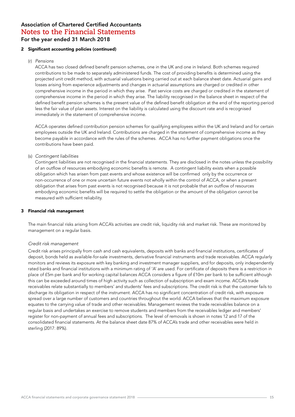#### 2 Significant accounting policies (continued)

#### (r) *Pensions*

ACCA has two closed defined benefit pension schemes, one in the UK and one in Ireland. Both schemes required contributions to be made to separately administered funds. The cost of providing benefits is determined using the projected unit credit method, with actuarial valuations being carried out at each balance sheet date. Actuarial gains and losses arising from experience adjustments and changes in actuarial assumptions are charged or credited in other comprehensive income in the period in which they arise. Past service costs are charged or credited in the statement of comprehensive income in the period in which they arise. The liability recognised in the balance sheet in respect of the defined benefit pension schemes is the present value of the defined benefit obligation at the end of the reporting period less the fair value of plan assets. Interest on the liability is calculated using the discount rate and is recognised immediately in the statement of comprehensive income.

ACCA operates defined contribution pension schemes for qualifying employees within the UK and Ireland and for certain employees outside the UK and Ireland. Contributions are charged in the statement of comprehensive income as they become payable in accordance with the rules of the schemes. ACCA has no further payment obligations once the contributions have been paid.

#### (s) Contingent liabilities

Contingent liabilities are not recognised in the financial statements. They are disclosed in the notes unless the possibility of an outflow of resources embodying economic benefits is remote. A contingent liability exists when a possible obligation which has arisen from past events and whose existence will be confirmed only by the occurrence or non-occurrence of one or more uncertain future events not wholly within the control of ACCA, or when a present obligation that arises from past events is not recognised because it is not probable that an outflow of resources embodying economic benefits will be required to settle the obligation or the amount of the obligation cannot be measured with sufficient reliability.

#### 3 Financial risk management

The main financial risks arising from ACCA's activities are credit risk, liquidity risk and market risk. These are monitored by management on a regular basis.

#### *Credit risk management*

Credit risk arises principally from cash and cash equivalents, deposits with banks and financial institutions, certificates of deposit, bonds held as available-for-sale investments, derivative financial instruments and trade receivables. ACCA regularly monitors and reviews its exposure with key banking and investment manager suppliers, and for deposits, only independently rated banks and financial institutions with a minimum rating of 'A' are used. For certificate of deposits there is a restriction in place of £5m per bank and for working capital balances ACCA considers a figure of £10m per bank to be sufficient although this can be exceeded around times of high activity such as collection of subscription and exam income. ACCA's trade receivables relate substantially to members' and students' fees and subscriptions. The credit risk is that the customer fails to discharge its obligation in respect of the instrument. ACCA has no significant concentration of credit risk, with exposure spread over a large number of customers and countries throughout the world. ACCA believes that the maximum exposure equates to the carrying value of trade and other receivables. Management reviews the trade receivables balance on a regular basis and undertakes an exercise to remove students and members from the receivables ledger and members' register for non-payment of annual fees and subscriptions. The level of removals is shown in notes 12 and 17 of the consolidated financial statements. At the balance sheet date 87% of ACCA's trade and other receivables were held in sterling (2017: 89%).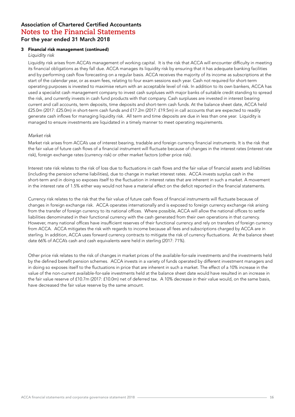#### 3 Financial risk management (continued)

*Liquidity risk*

Liquidity risk arises from ACCA's management of working capital. It is the risk that ACCA will encounter difficulty in meeting its financial obligations as they fall due. ACCA manages its liquidity risk by ensuring that it has adequate banking facilities and by performing cash flow forecasting on a regular basis. ACCA receives the majority of its income as subscriptions at the start of the calendar year, or as exam fees, relating to four exam sessions each year. Cash not required for short-term operating purposes is invested to maximise return with an acceptable level of risk. In addition to its own bankers, ACCA has used a specialist cash management company to invest cash surpluses with major banks of suitable credit standing to spread the risk, and currently invests in cash fund products with that company. Cash surpluses are invested in interest bearing current and call accounts, term deposits, time deposits and short-term cash funds. At the balance sheet date, ACCA held £25.0m (2017: £25.0m) in short-term cash funds and £17.2m (2017: £19.5m) in call accounts that are expected to readily generate cash inflows for managing liquidity risk. All term and time deposits are due in less than one year. Liquidity is managed to ensure investments are liquidated in a timely manner to meet operating requirements.

#### Market risk

Market risk arises from ACCA's use of interest bearing, tradable and foreign currency financial instruments. It is the risk that the fair value of future cash flows of a financial instrument will fluctuate because of changes in the interest rates (interest rate risk), foreign exchange rates (currency risk) or other market factors (other price risk).

Interest rate risk relates to the risk of loss due to fluctuations in cash flows and the fair value of financial assets and liabilities (including the pension scheme liabilities), due to change in market interest rates. ACCA invests surplus cash in the short-term and in doing so exposes itself to the fluctuation in interest rates that are inherent in such a market. A movement in the interest rate of 1.5% either way would not have a material effect on the deficit reported in the financial statements.

Currency risk relates to the risk that the fair value of future cash flows of financial instruments will fluctuate because of changes in foreign exchange risk. ACCA operates internationally and is exposed to foreign currency exchange risk arising from the transfer of foreign currency to its national offices. Where possible, ACCA will allow the national offices to settle liabilities denominated in their functional currency with the cash generated from their own operations in that currency. However, many national offices have insufficient reserves of their functional currency and rely on transfers of foreign currency from ACCA. ACCA mitigates the risk with regards to income because all fees and subscriptions charged by ACCA are in sterling. In addition, ACCA uses forward currency contracts to mitigate the risk of currency fluctuations. At the balance sheet date 66% of ACCA's cash and cash equivalents were held in sterling (2017: 71%).

Other price risk relates to the risk of changes in market prices of the available-for-sale investments and the investments held by the defined benefit pension schemes. ACCA invests in a variety of funds operated by different investment managers and in doing so exposes itself to the fluctuations in price that are inherent in such a market. The effect of a 10% increase in the value of the non-current available-for-sale investments held at the balance sheet date would have resulted in an increase in the fair value reserve of £10.7m (2017: £10.0m) net of deferred tax. A 10% decrease in their value would, on the same basis, have decreased the fair value reserve by the same amount.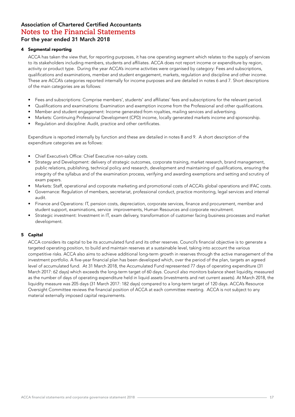#### 4 Segmental reporting

ACCA has taken the view that, for reporting purposes, it has one operating segment which relates to the supply of services to its stakeholders including members, students and affiliates. ACCA does not report income or expenditure by region, activity or product type. During the year ACCA's income activities were organised by category: Fees and subscriptions, qualifications and examinations, member and student engagement, markets, regulation and discipline and other income. These are ACCA's categories reported internally for income purposes and are detailed in notes 6 and 7. Short descriptions of the main categories are as follows:

- Fees and subscriptions: Comprise members', students' and affiliates' fees and subscriptions for the relevant period.
- Qualifications and examinations: Examination and exemption income from the Professional and other qualifications.
- Member and student engagement: Income generated from royalties, mailing services and advertising.
- Markets: Continuing Professional Development (CPD) income, locally generated markets income and sponsorship.
- Regulation and discipline: Audit, practice and other certificates.

Expenditure is reported internally by function and these are detailed in notes 8 and 9. A short description of the expenditure categories are as follows:

- Chief Executive's Office: Chief Executive non-salary costs.
- Strategy and Development: delivery of strategic outcomes, corporate training, market research, brand management, public relations, publishing, technical policy and research, development and maintaining of qualifications, ensuring the integrity of the syllabus and of the examination process, verifying and awarding exemptions and setting and scrutiny of exam papers.
- Markets: Staff, operational and corporate marketing and promotional costs of ACCA's global operations and IFAC costs.
- Governance: Regulation of members, secretariat, professional conduct, practice monitoring, legal services and internal audit.
- Finance and Operations: IT, pension costs, depreciation, corporate services, finance and procurement, member and student support, examinations, service improvements, Human Resources and corporate recruitment.
- Strategic investment: Investment in IT, exam delivery, transformation of customer facing business processes and market development.

#### 5 Capital

ACCA considers its capital to be its accumulated fund and its other reserves. Council's financial objective is to generate a targeted operating position, to build and maintain reserves at a sustainable level, taking into account the various competitive risks. ACCA also aims to achieve additional long-term growth in reserves through the active management of the investment portfolio. A five-year financial plan has been developed which, over the period of the plan, targets an agreed level of accumulated fund. At 31 March 2018, the Accumulated Fund represented 77 days of operating expenditure (31 March 2017: 62 days) which exceeds the long-term target of 60 days. Council also monitors balance sheet liquidity, measured as the number of days of operating expenditure held in liquid assets (investments and net current assets). At March 2018, the liquidity measure was 205 days (31 March 2017: 182 days) compared to a long-term target of 120 days. ACCA's Resource Oversight Committee reviews the financial position of ACCA at each committee meeting. ACCA is not subject to any material externally imposed capital requirements.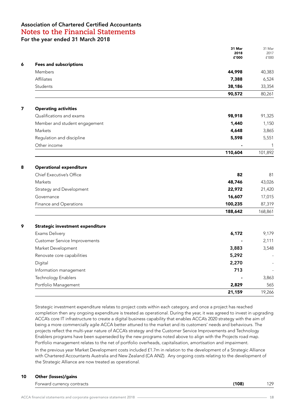|                                      | 31 Mar<br>2018<br>£'000 | 31 Mar<br>2017<br>£'000 |
|--------------------------------------|-------------------------|-------------------------|
| <b>Fees and subscriptions</b>        |                         |                         |
| Members                              | 44,998                  | 40,383                  |
| Affiliates                           | 7,388                   | 6,524                   |
| Students                             | 38,186                  | 33,354                  |
|                                      | 90,572                  | 80,261                  |
| <b>Operating activities</b>          |                         |                         |
| Qualifications and exams             | 98,918                  | 91,325                  |
| Member and student engagement        | 1,440                   | 1,150                   |
| Markets                              | 4,648                   | 3,865                   |
| Regulation and discipline            | 5,598                   | 5,551                   |
| Other income                         |                         | 1                       |
|                                      | 110,604                 | 101,892                 |
| <b>Operational expenditure</b>       |                         |                         |
| Chief Executive's Office             | 82                      | 81                      |
| Markets                              | 48,746                  | 43,026                  |
| Strategy and Development             | 22,972                  | 21,420                  |
| Governance                           | 16,607                  | 17,015                  |
| Finance and Operations               | 100,235                 | 87,319                  |
|                                      | 188,642                 | 168,861                 |
| Strategic investment expenditure     |                         |                         |
| Exams Delivery                       | 6,172                   | 9,179                   |
| <b>Customer Service Improvements</b> |                         | 2,111                   |
| Market Development                   | 3,883                   | 3,548                   |
| Renovate core capabilities           | 5,292                   |                         |
| Digital                              | 2,270                   |                         |
| Information management               | 713                     |                         |
| Technology Enablers                  |                         | 3,863                   |
| Portfolio Management                 | 2,829                   | 565                     |
|                                      | 21,159                  | 19,266                  |

Strategic investment expenditure relates to project costs within each category, and once a project has reached completion then any ongoing expenditure is treated as operational. During the year, it was agreed to invest in upgrading ACCA's core IT infrastructure to create a digital business capability that enables ACCA's 2020 strategy with the aim of being a more commercially agile ACCA better attuned to the market and its customers' needs and behaviours. The projects reflect the multi-year nature of ACCA's strategy and the Customer Service Improvements and Technology Enablers programs have been superseded by the new programs noted above to align with the Projects road map. Portfolio management relates to the net of portfolio overheads, capitalisation, amortisation and impairment.

In the previous year Market Development costs included £1.7m in relation to the development of a Strategic Alliance with Chartered Accountants Australia and New Zealand (CA ANZ). Any ongoing costs relating to the development of the Strategic Alliance are now treated as operational.

#### 10 Other (losses)/gains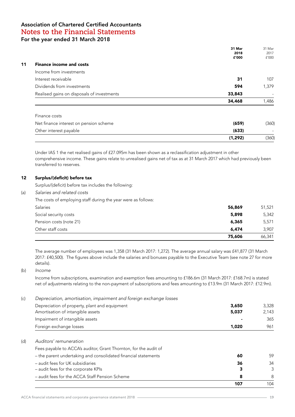|                                            | 31 Mar<br>2018<br>£'000 | 31 Mar<br>2017<br>f'000      |
|--------------------------------------------|-------------------------|------------------------------|
| <b>Finance income and costs</b>            |                         |                              |
| Income from investments                    |                         |                              |
| Interest receivable                        | 31                      | 107                          |
| Dividends from investments                 | 594                     | 1,379                        |
| Realised gains on disposals of investments | 33,843                  | $\overline{\phantom{a}}$     |
|                                            | 34,468                  | 1,486                        |
| Finance costs                              |                         |                              |
| Net finance interest on pension scheme     | (659)                   | (360)                        |
| Other interest payable                     | (633)                   | $\qquad \qquad \blacksquare$ |
|                                            | (1, 292)                | (360)                        |

Under IAS 1 the net realised gains of £27.095m has been shown as a reclassification adjustment in other comprehensive income. These gains relate to unrealised gains net of tax as at 31 March 2017 which had previously been transferred to reserves.

#### 12 Surplus/(deficit) before tax

Surplus/(deficit) before tax includes the following:

(a) *Salaries and related costs*

The costs of employing staff during the year were as follows:

|                         | 75,606 | 66,341 |
|-------------------------|--------|--------|
| Other staff costs       | 6,474  | 3.907  |
| Pension costs (note 21) | 6,365  | 5,571  |
| Social security costs   | 5,898  | 5,342  |
| <b>Salaries</b>         | 56,869 | 51,521 |

The average number of employees was 1,358 (31 March 2017: 1,272). The average annual salary was £41,877 (31 March 2017: £40,500). The figures above include the salaries and bonuses payable to the Executive Team (see note 27 for more details).

(b) *Income*

Income from subscriptions, examination and exemption fees amounting to £186.6m (31 March 2017: £168.7m) is stated net of adjustments relating to the non-payment of subscriptions and fees amounting to £13.9m (31 March 2017: £12.9m).

(c) *Depreciation, amortisation, impairment and foreign exchange losses* 

|                                                                  | 107   | 104   |
|------------------------------------------------------------------|-------|-------|
| - audit fees for the ACCA Staff Pension Scheme                   | 8     | 8     |
| - audit fees for the corporate KPIs                              | 3     | 3     |
| - audit fees for UK subsidiaries                                 | 36    | 34    |
| - the parent undertaking and consolidated financial statements   | 60    | 59    |
| Fees payable to ACCA's auditor, Grant Thornton, for the audit of |       |       |
| Auditors' remuneration                                           |       |       |
|                                                                  |       |       |
| Foreign exchange losses                                          | 1,020 | 961   |
| Impairment of intangible assets                                  |       | 365   |
| Amortisation of intangible assets                                | 5,037 | 2,143 |
| Depreciation of property, plant and equipment                    | 3,650 | 3,328 |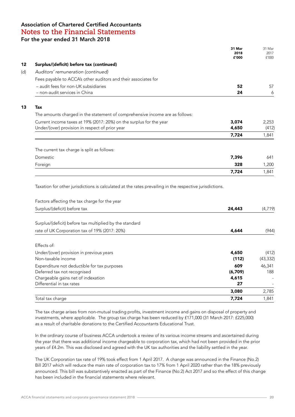|                                                                              | 31 Mar<br>2018<br>£'000 | 31 Mar<br>2017<br>f'000 |
|------------------------------------------------------------------------------|-------------------------|-------------------------|
| Surplus/(deficit) before tax (continued)                                     |                         |                         |
| Auditors' remuneration (continued)                                           |                         |                         |
| Fees payable to ACCA's other auditors and their associates for               |                         |                         |
| - audit fees for non-UK subsidiaries<br>- non-audit services in China        | 52<br>24                | 57<br>6                 |
| Tax                                                                          |                         |                         |
| The amounts charged in the statement of comprehensive income are as follows: |                         |                         |
| Current income taxes at 19% (2017: 20%) on the surplus for the year          | 3,074                   | 2,253                   |
| Under/(over) provision in respect of prior year                              | 4,650                   | (412)                   |
|                                                                              | 7,724                   | 1,841                   |
| The current tax charge is split as follows:                                  |                         |                         |
| Domestic                                                                     | 7,396                   | 641                     |
| Foreign                                                                      | 328                     | 1,200                   |
|                                                                              | 7,724                   | 1,841                   |

Taxation for other jurisdictions is calculated at the rates prevailing in the respective jurisdictions.

| Factors affecting the tax charge for the year           |         |           |
|---------------------------------------------------------|---------|-----------|
| Surplus/(deficit) before tax                            | 24,443  | (4,719)   |
| Surplus/(deficit) before tax multiplied by the standard |         |           |
| rate of UK Corporation tax of 19% (2017: 20%)           | 4,644   | (944)     |
| Effects of:                                             |         |           |
| Under/(over) provision in previous years                | 4,650   | (412)     |
| Non-taxable income                                      | (112)   | (43, 332) |
| Expenditure not deductible for tax purposes             | 609     | 46,341    |
| Deferred tax not recognised                             | (6,709) | 188       |
| Chargeable gains net of indexation                      | 4,615   |           |
| Differential in tax rates                               | 27      |           |
|                                                         | 3,080   | 2,785     |
| Total tax charge                                        | 7.724   | 1.841     |

The tax charge arises from non-mutual trading profits, investment income and gains on disposal of property and investments, where applicable. The group tax charge has been reduced by £171,000 (31 March 2017: £225,000) as a result of charitable donations to the Certified Accountants Educational Trust.

In the ordinary course of business ACCA undertook a review of its various income streams and ascertained during the year that there was additional income chargeable to corporation tax, which had not been provided in the prior years of £4.2m. This was disclosed and agreed with the UK tax authorities and the liability settled in the year.

The UK Corporation tax rate of 19% took effect from 1 April 2017. A change was announced in the Finance (No.2) Bill 2017 which will reduce the main rate of corporation tax to 17% from 1 April 2020 rather than the 18% previously announced. This bill was substantively enacted as part of the Finance (No.2) Act 2017 and so the effect of this change has been included in the financial statements where relevant.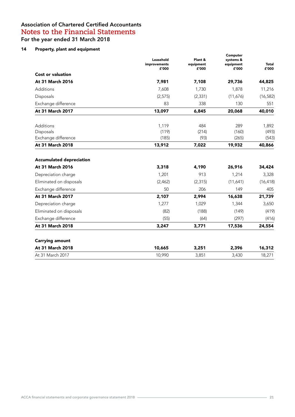## 14 Property, plant and equipment

|                                                     | Leasehold<br>improvements<br>£'000 | Plant &<br>equipment<br>£'000 | Computer<br>systems &<br>equipment<br>£'000 | <b>Total</b><br>£'000 |
|-----------------------------------------------------|------------------------------------|-------------------------------|---------------------------------------------|-----------------------|
| <b>Cost or valuation</b>                            |                                    |                               |                                             |                       |
| At 31 March 2016                                    | 7,981                              | 7,108                         | 29,736                                      | 44,825                |
| Additions                                           | 7,608                              | 1,730                         | 1,878                                       | 11,216                |
| Disposals                                           | (2, 575)                           | (2, 331)                      | (11,676)                                    | (16, 582)             |
| Exchange difference                                 | 83                                 | 338                           | 130                                         | 551                   |
| At 31 March 2017                                    | 13,097                             | 6,845                         | 20,068                                      | 40,010                |
| Additions                                           | 1,119                              | 484                           | 289                                         | 1,892                 |
| Disposals                                           | (119)                              | (214)                         | (160)                                       | (493)                 |
| Exchange difference                                 | (185)                              | (93)                          | (265)                                       | (543)                 |
| At 31 March 2018                                    | 13,912                             | 7,022                         | 19,932                                      | 40,866                |
| <b>Accumulated depreciation</b><br>At 31 March 2016 | 3,318                              | 4,190                         | 26,916                                      | 34,424                |
| Depreciation charge                                 | 1,201                              | 913                           | 1,214                                       | 3,328                 |
| Eliminated on disposals                             | (2,462)                            | (2, 315)                      | (11,641)                                    | (16, 418)             |
| Exchange difference                                 | 50                                 | 206                           | 149                                         | 405                   |
| At 31 March 2017                                    | 2,107                              | 2,994                         | 16,638                                      | 21,739                |
| Depreciation charge                                 | 1,277                              | 1,029                         | 1,344                                       | 3,650                 |
| Eliminated on disposals                             | (82)                               | (188)                         | (149)                                       | (419)                 |
| Exchange difference                                 | (55)                               | (64)                          | (297)                                       | (416)                 |
| At 31 March 2018                                    | 3,247                              | 3,771                         | 17,536                                      | 24,554                |
| <b>Carrying amount</b>                              |                                    |                               |                                             |                       |
| At 31 March 2018                                    | 10,665                             | 3,251                         | 2,396                                       | 16,312                |
| At 31 March 2017                                    | 10,990                             | 3,851                         | 3,430                                       | 18,271                |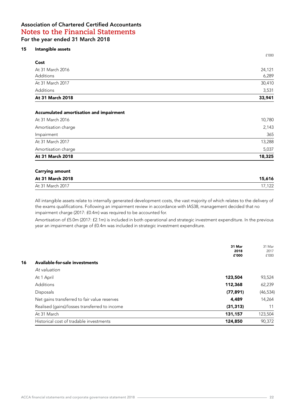#### 15 Intangible assets

| At 31 March 2018 | 33,941 |
|------------------|--------|
| Additions        | 3,531  |
| At 31 March 2017 | 30,410 |
| Additions        | 6,289  |
| At 31 March 2016 | 24,121 |
| Cost             |        |
|                  | f'000  |

#### Accumulated amortisation and impairment

| At 31 March 2018    | 18,325 |
|---------------------|--------|
| Amortisation charge | 5,037  |
| At 31 March 2017    | 13,288 |
| Impairment          | 365    |
| Amortisation charge | 2,143  |
| At 31 March 2016    | 10,780 |
|                     |        |

#### Carrying amount

| At 31 March 2018 | 15,616     |
|------------------|------------|
| At 31 March 2017 | 122<br>ے ا |

All intangible assets relate to internally generated development costs, the vast majority of which relates to the delivery of the exams qualifications. Following an impairment review in accordance with IAS38, management decided that no impairment charge (2017: £0.4m) was required to be accounted for.

Amortisation of £5.0m (2017: £2.1m) is included in both operational and strategic investment expenditure. In the previous year an impairment charge of £0.4m was included in strategic investment expenditure.

|                                               | 31 Mar<br>2018<br>£'000 | 31 Mar<br>2017<br>f'000 |
|-----------------------------------------------|-------------------------|-------------------------|
| Available-for-sale investments                |                         |                         |
| At valuation                                  |                         |                         |
| At 1 April                                    | 123,504                 | 93,524                  |
| Additions                                     | 112,368                 | 62,239                  |
| Disposals                                     | (77, 891)               | (46, 534)               |
| Net gains transferred to fair value reserves  | 4,489                   | 14,264                  |
| Realised (gains)/losses transferred to income | (31, 313)               | 11                      |
| At 31 March                                   | 131,157                 | 123,504                 |
| Historical cost of tradable investments       | 124,850                 | 90,372                  |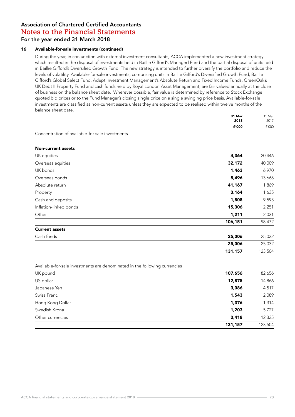#### 16 Available-for-sale investments (continued)

During the year, in conjunction with external investment consultants, ACCA implemented a new investment strategy which resulted in the disposal of investments held in Baillie Gifford's Managed Fund and the partial disposal of units held in Baillie Gifford's Diversified Growth Fund. The new strategy is intended to further diversify the portfolio and reduce the levels of volatility. Available-for-sale investments, comprising units in Baillie Gifford's Diversified Growth Fund, Baillie Gifford's Global Select Fund, Adept Investment Management's Absolute Return and Fixed Income Funds, GreenOak's UK Debt II Property Fund and cash funds held by Royal London Asset Management, are fair valued annually at the close of business on the balance sheet date. Wherever possible, fair value is determined by reference to Stock Exchange quoted bid prices or to the Fund Manager's closing single price on a single swinging price basis. Available-for-sale investments are classified as non-current assets unless they are expected to be realised within twelve months of the balance sheet date.

| 41,167<br>3,164<br>1,808<br>15,306<br>1,211<br>106,151 | 1,869<br>1,635<br>9,593<br>2,251<br>2,031<br>98,472 |
|--------------------------------------------------------|-----------------------------------------------------|
|                                                        |                                                     |
|                                                        |                                                     |
|                                                        |                                                     |
|                                                        |                                                     |
|                                                        |                                                     |
|                                                        |                                                     |
|                                                        |                                                     |
|                                                        | 13,668                                              |
| 1,463                                                  | 6,970                                               |
| 32,172                                                 | 40,009                                              |
| 4,364                                                  | 20,446                                              |
|                                                        |                                                     |
|                                                        | 5,496                                               |

Available-for-sale investments are denominated in the following currencies

|                  | 131,157 | 123,504 |
|------------------|---------|---------|
| Other currencies | 3,418   | 12,335  |
| Swedish Krona    | 1,203   | 5,727   |
| Hong Kong Dollar | 1,376   | 1,314   |
| Swiss Franc      | 1,543   | 2,089   |
| Japanese Yen     | 3,086   | 4,517   |
| US dollar        | 12,875  | 14,866  |
| UK pound         | 107,656 | 82,656  |
|                  |         |         |

**25,006** 25,032 **131,157** 123,504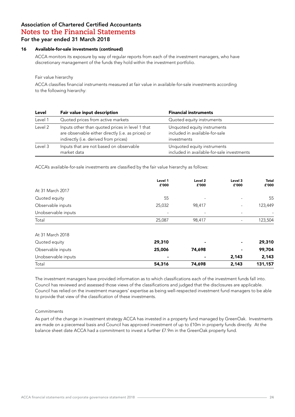#### 16 Available-for-sale investments (continued)

ACCA monitors its exposure by way of regular reports from each of the investment managers, who have discretionary management of the funds they hold within the investment portfolio.

#### Fair value hierarchy

ACCA classifies financial instruments measured at fair value in available-for-sale investments according to the following hierarchy:

| Level   | Fair value input description                                                                                                                   | <b>Financial instruments</b>                                                 |
|---------|------------------------------------------------------------------------------------------------------------------------------------------------|------------------------------------------------------------------------------|
| Level 1 | Quoted prices from active markets                                                                                                              | Quoted equity instruments                                                    |
| Level 2 | Inputs other than quoted prices in level 1 that<br>are observable either directly (i.e. as prices) or<br>indirectly (i.e. derived from prices) | Unquoted equity instruments<br>included in available-for-sale<br>investments |
| Level 3 | Inputs that are not based on observable<br>market data                                                                                         | Unquoted equity instruments<br>included in available-for-sale investments    |

ACCA's available-for-sale investments are classified by the fair value hierarchy as follows:

|                     | Level 1<br>£'000 | Level 2<br>£'000 | Level 3<br>£'000         | <b>Total</b><br>£'000 |
|---------------------|------------------|------------------|--------------------------|-----------------------|
| At 31 March 2017    |                  |                  |                          |                       |
| Quoted equity       | 55               |                  | $\overline{\phantom{a}}$ | 55                    |
| Observable inputs   | 25,032           | 98,417           |                          | 123,449               |
| Unobservable inputs |                  |                  | $\overline{\phantom{a}}$ |                       |
| Total               | 25,087           | 98,417           |                          | 123,504               |
| At 31 March 2018    |                  |                  |                          |                       |
| Quoted equity       | 29,310           |                  | ٠                        | 29,310                |
| Observable inputs   | 25,006           | 74,698           | $\blacksquare$           | 99,704                |
| Unobservable inputs | ٠                |                  | 2,143                    | 2,143                 |
| Total               | 54,316           | 74,698           | 2,143                    | 131,157               |

The investment managers have provided information as to which classifications each of the investment funds fall into. Council has reviewed and assessed those views of the classifications and judged that the disclosures are applicable. Council has relied on the investment managers' expertise as being well-respected investment fund managers to be able to provide that view of the classification of these investments.

#### Commitments

As part of the change in investment strategy ACCA has invested in a property fund managed by GreenOak. Investments are made on a piecemeal basis and Council has approved investment of up to £10m in property funds directly. At the balance sheet date ACCA had a commitment to invest a further £7.9m in the GreenOak property fund.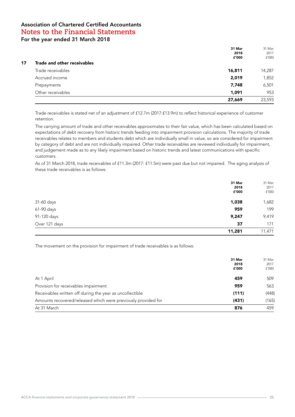|    |                             | 31 Mar | 31 Mar |
|----|-----------------------------|--------|--------|
|    |                             | 2018   | 2017   |
|    |                             | £'000  | f'000  |
| 17 | Trade and other receivables |        |        |
|    | Trade receivables           | 16,811 | 14,287 |
|    | Accrued income              | 2,019  | 1,852  |
|    | Prepayments                 | 7,748  | 6,501  |
|    | Other receivables           | 1,091  | 953    |
|    |                             | 27,669 | 23,593 |

Trade receivables is stated net of an adjustment of £12.7m (2017:£13.9m) to reflect historical experience of customer retention.

The carrying amount of trade and other receivables approximates to their fair value, which has been calculated based on expectations of debt recovery from historic trends feeding into impairment provision calculations. The majority of trade receivables relates to members and students debt which are individually small in value, so are considered for impairment by category of debt and are not individually impaired. Other trade receivables are reviewed individually for impairment, and judgement made as to any likely impairment based on historic trends and latest communications with specific customers.

As of 31 March 2018, trade receivables of £11.3m (2017: £11.5m) were past due but not impaired. The aging analysis of these trade receivables is as follows:

|               | 31 Mar<br>2018<br>£'000 | 31 Mar<br>2017<br>${\tt f'}000$ |
|---------------|-------------------------|---------------------------------|
| 31-60 days    | 1,038                   | 1,682                           |
| 61-90 days    | 959                     | 199                             |
| 91-120 days   | 9,247                   | 9,419                           |
| Over 121 days | 37                      | 171                             |
|               | 11,281                  | 11,471                          |

The movement on the provision for impairment of trade receivables is as follows:

|                                                               | 31 Mar | 31 Mar |
|---------------------------------------------------------------|--------|--------|
|                                                               | 2018   | 2017   |
|                                                               | £'000  | f'000  |
| At 1 April                                                    | 459    | 509    |
| Provision for receivables impairment                          | 959    | 563    |
| Receivables written off during the year as uncollectible      | (111)  | (448)  |
| Amounts recovered/released which were previously provided for | (431)  | (165)  |
| At 31 March                                                   | 876    | 459    |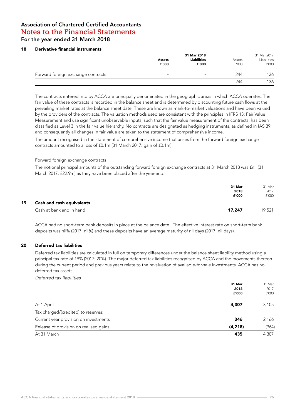#### 18 Derivative financial instruments

|                                    |        | 31 Mar 2018              |        | 31 Mar 2017 |
|------------------------------------|--------|--------------------------|--------|-------------|
|                                    | Assets | <b>Liabilities</b>       | Assets | Liabilities |
|                                    | £'000  | £'000                    | f'000  | f'000       |
| Forward foreign exchange contracts |        | $\overline{\phantom{0}}$ | 244    | 136         |
|                                    | ۰      | $\overline{\phantom{a}}$ | 244    | 136         |

The contracts entered into by ACCA are principally denominated in the geographic areas in which ACCA operates. The fair value of these contracts is recorded in the balance sheet and is determined by discounting future cash flows at the prevailing market rates at the balance sheet date. These are known as mark-to-market valuations and have been valued by the providers of the contracts. The valuation methods used are consistent with the principles in IFRS 13: Fair Value Measurement and use significant unobservable inputs, such that the fair value measurement of the contracts, has been classified as Level 3 in the fair value hierarchy. No contracts are designated as hedging instruments, as defined in IAS 39, and consequently all changes in fair value are taken to the statement of comprehensive income.

The amount recognised in the statement of comprehensive income that arises from the forward foreign exchange contracts amounted to a loss of £0.1m (31 March 2017: gain of £0.1m).

#### Forward foreign exchange contracts

The notional principal amounts of the outstanding forward foreign exchange contracts at 31 March 2018 was £nil (31 March 2017: £22.9m) as they have been placed after the year-end.

|    |                                  | 31 Mar        | 31 Mar<br>2017 |
|----|----------------------------------|---------------|----------------|
|    |                                  | 2018<br>£'000 | f'000          |
| 19 | <b>Cash and cash equivalents</b> |               |                |
|    | Cash at bank and in hand         | 17,247        | 19,521         |

ACCA had no short-term bank deposits in place at the balance date. The effective interest rate on short-term bank deposits was nil% (2017: nil%) and these deposits have an average maturity of nil days (2017: nil days).

#### 20 Deferred tax liabilities

Deferred tax liabilities are calculated in full on temporary differences under the balance sheet liability method using a principal tax rate of 19% (2017: 20%). The major deferred tax liabilities recognised by ACCA and the movements thereon during the current period and previous years relate to the revaluation of available-for-sale investments. ACCA has no deferred tax assets.

Deferred tax liabilities

|                                        | 31 Mar   | 31 Mar |
|----------------------------------------|----------|--------|
|                                        | 2018     | 2017   |
|                                        | £'000    | f'000  |
| At 1 April                             | 4,307    | 3,105  |
| Tax charged/(credited) to reserves:    |          |        |
| Current year provision on investments  | 346      | 2,166  |
| Release of provision on realised gains | (4, 218) | (964)  |
| At 31 March                            | 435      | 4,307  |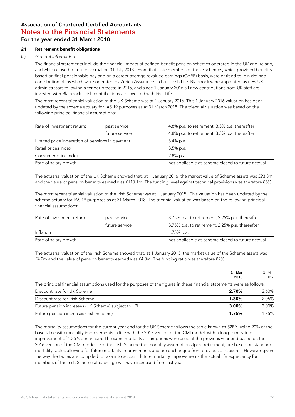#### 21 Retirement benefit obligations

#### (a) *General information*

The financial statements include the financial impact of defined benefit pension schemes operated in the UK and Ireland, and which closed to future accrual on 31 July 2013. From that date members of those schemes, which provided benefits based on final pensionable pay and on a career average revalued earnings (CARE) basis, were entitled to join defined contribution plans which were operated by Zurich Assurance Ltd and Irish Life. Blackrock were appointed as new UK administrators following a tender process in 2015, and since 1 January 2016 all new contributions from UK staff are invested with Blackrock. Irish contributions are invested with Irish Life.

The most recent triennial valuation of the UK Scheme was at 1 January 2016. This 1 January 2016 valuation has been updated by the scheme actuary for IAS 19 purposes as at 31 March 2018. The triennial valuation was based on the following principal financial assumptions:

| Rate of investment return:                      | past service   | 4.8% p.a. to retirement, 3.5% p.a. thereafter     |
|-------------------------------------------------|----------------|---------------------------------------------------|
|                                                 | future service | 4.8% p.a. to retirement, 3.5% p.a. thereafter     |
| Limited price indexation of pensions in payment |                | 3.4% p.a.                                         |
| Retail prices index                             |                | $3.5\%$ p.a.                                      |
| Consumer price index                            |                | $2.8\%$ p.a.                                      |
| Rate of salary growth                           |                | not applicable as scheme closed to future accrual |

The actuarial valuation of the UK Scheme showed that, at 1 January 2016, the market value of Scheme assets was £93.3m and the value of pension benefits earned was £110.1m. The funding level against technical provisions was therefore 85%.

The most recent triennial valuation of the Irish Scheme was at 1 January 2015. This valuation has been updated by the scheme actuary for IAS 19 purposes as at 31 March 2018. The triennial valuation was based on the following principal financial assumptions:

| Rate of investment return:<br>past service |                | 3.75% p.a. to retirement, 2.25% p.a. thereafter   |
|--------------------------------------------|----------------|---------------------------------------------------|
|                                            | future service | 3.75% p.a. to retirement, 2.25% p.a. thereafter   |
| Inflation                                  |                | 1.75% p.a.                                        |
| Rate of salary growth                      |                | not applicable as scheme closed to future accrual |

The actuarial valuation of the Irish Scheme showed that, at 1 January 2015, the market value of the Scheme assets was £4.2m and the value of pension benefits earned was £4.8m. The funding ratio was therefore 87%.

|                                                                                                                         | 31 Mar<br>2018 | 31 Mar<br>2017 |
|-------------------------------------------------------------------------------------------------------------------------|----------------|----------------|
| The principal financial assumptions used for the purposes of the figures in these financial statements were as follows: |                |                |
| Discount rate for UK Scheme                                                                                             | 2.70%          | 2.60%          |
| Discount rate for Irish Scheme                                                                                          | 1.80%          | 2.05%          |
| Future pension increases (UK Scheme) subject to LPI                                                                     | 3.00%          | 3.00%          |
| Future pension increases (Irish Scheme)                                                                                 | 1.75%          | 1.75%          |

The mortality assumptions for the current year-end for the UK Scheme follows the table known as S2PA, using 90% of the base table with mortality improvements in line with the 2017 version of the CMI model, with a long-term rate of improvement of 1.25% per annum. The same mortality assumptions were used at the previous year end based on the 2016 version of the CMI model. For the Irish Scheme the mortality assumptions (post retirement) are based on standard mortality tables allowing for future mortality improvements and are unchanged from previous disclosures. However given the way the tables are compiled to take into account future mortality improvements the actual life expectancy for members of the Irish Scheme at each age will have increased from last year.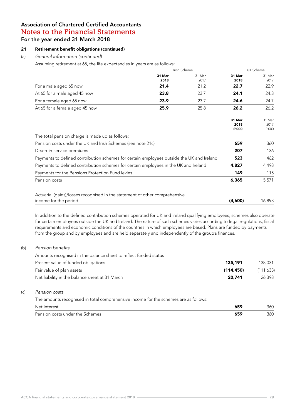#### 21 Retirement benefit obligations (continued)

#### (a) *General information (continued)*

Assuming retirement at 65, the life expectancies in years are as follows:

|                                                                                           | Irish Scheme |        | UK Scheme               |                         |
|-------------------------------------------------------------------------------------------|--------------|--------|-------------------------|-------------------------|
|                                                                                           | 31 Mar       | 31 Mar | 31 Mar                  | 31 Mar                  |
|                                                                                           | 2018         | 2017   | 2018                    | 2017                    |
| For a male aged 65 now                                                                    | 21.4         | 21.2   | 22.7                    | 22.9                    |
| At 65 for a male aged 45 now                                                              | 23.8         | 23.7   | 24.1                    | 24.3                    |
| For a female aged 65 now                                                                  | 23.9         | 23.7   | 24.6                    | 24.7                    |
| At 65 for a female aged 45 now                                                            | 25.9         | 25.8   | 26.2                    | 26.2                    |
|                                                                                           |              |        | 31 Mar<br>2018<br>£'000 | 31 Mar<br>2017<br>f'000 |
| The total pension charge is made up as follows:                                           |              |        |                         |                         |
| Pension costs under the UK and Irish Schemes (see note 21c)                               |              |        | 659                     | 360                     |
| Death-in-service premiums                                                                 |              |        | 207                     | 136                     |
| Payments to defined contribution schemes for certain employees outside the UK and Ireland |              |        | 523                     | 462                     |
| Payments to defined contribution schemes for certain employees in the UK and Ireland      |              |        | 4,827                   | 4,498                   |
| Payments for the Pensions Protection Fund levies                                          |              |        | 149                     | 115                     |
| Pension costs                                                                             |              |        | 6,365                   | 5,571                   |

| Actuarial (gains)/losses recognised in the statement of other comprehensive |         |        |
|-----------------------------------------------------------------------------|---------|--------|
| income for the period                                                       | (4,600) | 16,893 |

In addition to the defined contribution schemes operated for UK and Ireland qualifying employees, schemes also operate for certain employees outside the UK and Ireland. The nature of such schemes varies according to legal regulations, fiscal requirements and economic conditions of the countries in which employees are based. Plans are funded by payments from the group and by employees and are held separately and independently of the group's finances.

#### (b) Pension benefits

Amounts recognised in the balance sheet to reflect funded status

| Present value of funded obligations            | 135.191   | 138,031    |
|------------------------------------------------|-----------|------------|
| Fair value of plan assets                      | (114.450) | (111, 633) |
| Net liability in the balance sheet at 31 March | 20.741    | 26,398     |

#### (c) *Pension costs*

The amounts recognised in total comprehensive income for the schemes are as follows:

| Net interest                    | 7 E C      | 360 |
|---------------------------------|------------|-----|
| Pension costs under the Schemes | īЕO<br>יכס | 360 |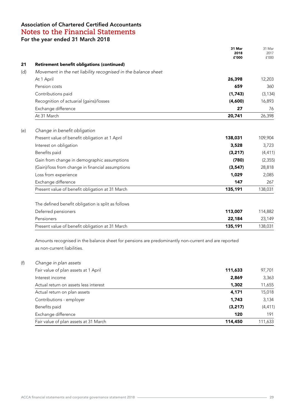$31$  Mar  $31$  Mar  $31$  Mar **2018** 2017 **2018** 2017  $\mathbf{f}'$ 000  $\mathbf{f}'$ 000  $\mathbf{f}'$ 000  $\mathbf{f}'$ 21 Retirement benefit obligations (continued) (d) Movement in the net liability recognised in the balance sheet At 1 April 26,398 26,398 2020 12,203 26,398 26,398 26,398 26,398 26,398 26,398 26,398 26,398 26,398 26,398 26, Pension costs 659 360 Contributions paid (1,743) (3,134) Recognition of actuarial (gains)/losses (4,600) 16,893 Exchange difference 27 76 At 31 March 26,398 (20,741 26,398 (20,741 26,398 ) (e) Change in benefit obligation Present value of benefit obligation at 1 April 138,031 138,031 109,904 Interest on obligation 3,723 3,723 3,723 Benefits paid (3,217) (4,411) Gain from change in demographic assumptions (2,355) (2,355) (2,355) (Gain)/loss from change in financial assumptions (3,547) 28,818 Loss from experience 2,085 Exchange difference 267 Present value of benefit obligation at 31 March 135,191 138,031 The defined benefit obligation is split as follows Deferred pensioners 114,882 Pensioners **22,184** 23,149 Present value of benefit obligation at 31 March 135,191 138,031

Amounts recognised in the balance sheet for pensions are predominantly non-current and are reported as non-current liabilities.

| Fair value of plan assets at 31 March | 114,450  | 111,633  |
|---------------------------------------|----------|----------|
| Exchange difference                   | 120      | 191      |
| Benefits paid                         | (3, 217) | (4, 411) |
| Contributions - employer              | 1,743    | 3,134    |
| Actual return on plan assets          | 4,171    | 15,018   |
| Actual return on assets less interest | 1,302    | 11,655   |
| Interest income                       | 2,869    | 3,363    |
| Fair value of plan assets at 1 April  | 111,633  | 97,701   |
| Change in plan assets                 |          |          |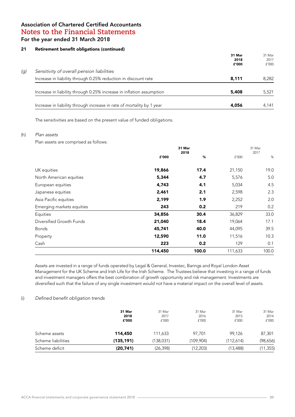#### 21 Retirement benefit obligations (continued)

|     |                                                                       | 31 Mar<br>2018<br>£'000 | 31 Mar<br>2017<br>f'000 |
|-----|-----------------------------------------------------------------------|-------------------------|-------------------------|
| (g) | Sensitivity of overall pension liabilities                            |                         |                         |
|     | Increase in liability through 0.25% reduction in discount rate        | 8,111                   | 8.282                   |
|     | Increase in liability through 0.25% increase in inflation assumption  | 5,408                   | 5,521                   |
|     | Increase in liability through increase in rate of mortality by 1 year | 4,056                   | 4.141                   |

The sensitivities are based on the present value of funded obligations.

#### (h) *Plan assets*

Plan assets are comprised as follows:

|                           | 31 Mar<br>2018 |       |         | 31 Mar<br>2017 |  |
|---------------------------|----------------|-------|---------|----------------|--|
|                           | £'000          | %     | f'000   | %              |  |
| UK equities               | 19,866         | 17.4  | 21,150  | 19.0           |  |
| North American equities   | 5,344          | 4.7   | 5,576   | 5.0            |  |
| European equities         | 4,743          | 4.1   | 5,034   | 4.5            |  |
| Japanese equities         | 2,461          | 2.1   | 2,598   | 2.3            |  |
| Asia Pacific equities     | 2,199          | 1.9   | 2,252   | 2.0            |  |
| Emerging markets equities | 243            | 0.2   | 219     | 0.2            |  |
| Equities                  | 34,856         | 30.4  | 36,829  | 33.0           |  |
| Diversified Growth Funds  | 21,040         | 18.4  | 19,064  | 17.1           |  |
| <b>Bonds</b>              | 45,741         | 40.0  | 44,095  | 39.5           |  |
| Property                  | 12,590         | 11.0  | 11,516  | 10.3           |  |
| Cash                      | 223            | 0.2   | 129     | 0.1            |  |
|                           | 114,450        | 100.0 | 111,633 | 100.0          |  |

Assets are invested in a range of funds operated by Legal & General, Investec, Barings and Royal London Asset Management for the UK Scheme and Irish Life for the Irish Scheme. The Trustees believe that investing in a range of funds and investment managers offers the best combination of growth opportunity and risk management. Investments are diversified such that the failure of any single investment would not have a material impact on the overall level of assets.

#### (i) Defined benefit obligation trends

| Scheme deficit     | (20,741)      | (26, 398)     | (12, 203)     | (13,488)      | (11,355)      |
|--------------------|---------------|---------------|---------------|---------------|---------------|
| Scheme liabilities | (135, 191)    | (138,031)     | (109,904)     | (112,614)     | (98,656)      |
| Scheme assets      | 114,450       | 111.633       | 97.701        | 99.126        | 87,301        |
|                    | 2018<br>£'000 | 2017<br>f'000 | 2016<br>f'000 | 2015<br>f'000 | 2014<br>f'000 |
|                    | 31 Mar        | 31 Mar        | 31 Mar        | 31 Mar        | 31 Mar        |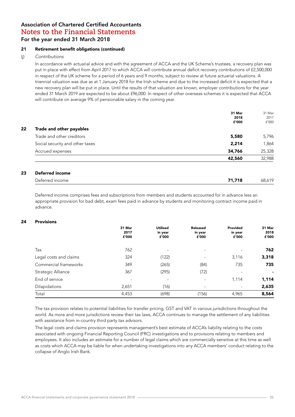#### 21 Retirement benefit obligations (continued)

#### (j) Contributions

In accordance with actuarial advice and with the agreement of ACCA and the UK Scheme's trustees, a recovery plan was put in place with effect from April 2017 to which ACCA will contribute annual deficit recovery contributions of £2,500,000 in respect of the UK scheme for a period of 6 years and 9 months, subject to review at future actuarial valuations. A triennial valuation was due as at 1 January 2018 for the Irish scheme and due to the increased deficit it is expected that a new recovery plan will be put in place. Until the results of that valuation are known, employer contributions for the year ended 31 March 2019 are expected to be about £96,000. In respect of other overseas schemes it is expected that ACCA will contribute on average 9% of pensionable salary in the coming year.

|                                 | 31 Mar | 31 Mar |
|---------------------------------|--------|--------|
|                                 | 2018   | 2017   |
|                                 | £'000  | f'000  |
| Trade and other payables        |        |        |
| Trade and other creditors       | 5,580  | 5,796  |
| Social security and other taxes | 2,214  | 1,864  |
| Accrued expenses                | 34,766 | 25,328 |
|                                 | 42,560 | 32,988 |

| <b>PEIGHER INCOME</b><br>$\sim$ $\sim$ $\sim$ $\sim$ $\sim$ $\sim$ |                |                  |
|--------------------------------------------------------------------|----------------|------------------|
| red income<br>)eterred<br>◡                                        | 740<br>1,7 I O | $\sim$<br>$\sim$ |
|                                                                    |                |                  |

Deferred income comprises fees and subscriptions from members and students accounted for in advance less an appropriate provision for bad debt, exam fees paid in advance by students and monitoring contract income paid in advance.

#### 24 Provisions

|                        | 31 Mar<br>2017<br>£'000  | <b>Utilised</b><br>in year<br>£'000 | <b>Released</b><br>in year<br>£'000 | Provided<br>in year<br>£'000 | 31 Mar<br>2018<br>£'000 |
|------------------------|--------------------------|-------------------------------------|-------------------------------------|------------------------------|-------------------------|
| Tax                    | 762                      |                                     | ۰                                   |                              | 762                     |
| Legal costs and claims | 324                      | (122)                               | $\overline{\phantom{0}}$            | 3,116                        | 3,318                   |
| Commercial frameworks  | 349                      | (265)                               | (84)                                | 735                          | 735                     |
| Strategic Alliance     | 367                      | (295)                               | (72)                                | $\overline{\phantom{a}}$     | ۰                       |
| End of service         | $\overline{\phantom{a}}$ |                                     |                                     | 1,114                        | 1,114                   |
| Dilapidations          | 2,651                    | (16)                                | $\overline{\phantom{a}}$            | $\overline{\phantom{a}}$     | 2,635                   |
| Total                  | 4,453                    | (698)                               | (156)                               | 4,965                        | 8,564                   |

The tax provision relates to potential liabilities for transfer pricing, GST and VAT in various jurisdictions throughout the world. As more and more jurisdictions review their tax laws, ACCA continues to manage the settlement of any liabilities with assistance from in-country third party tax advisors.

The legal costs and claims provision represents management's best estimate of ACCA's liability relating to the costs associated with ongoing Financial Reporting Council (FRC) investigations and to provisions relating to members and employees. It also includes an estimate for a number of legal claims which are commercially sensitive at this time as well as costs which ACCA may be liable for when undertaking investigations into any ACCA members' conduct relating to the collapse of Anglo Irish Bank.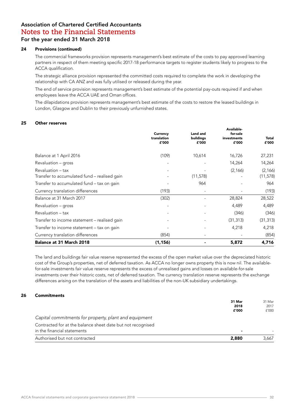#### 24 Provisions (continued)

The commercial frameworks provision represents management's best estimate of the costs to pay approved learning partners in respect of them meeting specific 2017-18 performance targets to register students likely to progress to the ACCA qualification.

The strategic alliance provision represented the committed costs required to complete the work in developing the relationship with CA ANZ and was fully utilised or released during the year.

The end of service provision represents management's best estimate of the potential pay-outs required if and when employees leave the ACCA UAE and Oman offices.

The dilapidations provision represents management's best estimate of the costs to restore the leased buildings in London, Glasgow and Dublin to their previously unfurnished states.

#### 25 Other reserves

|                                                                   | Currency<br>translation<br>£'000 | Land and<br>buildings<br>£'000 | Available-<br>for-sale<br>investments<br>£'000 | Total<br>£'000        |
|-------------------------------------------------------------------|----------------------------------|--------------------------------|------------------------------------------------|-----------------------|
| Balance at 1 April 2016                                           | (109)                            | 10,614                         | 16,726                                         | 27,231                |
| Revaluation – gross                                               |                                  |                                | 14,264                                         | 14,264                |
| Revaluation - tax<br>Transfer to accumulated fund - realised gain |                                  | (11, 578)                      | (2, 166)                                       | (2, 166)<br>(11, 578) |
| Transfer to accumulated fund - tax on gain                        |                                  | 964                            |                                                | 964                   |
| Currency translation differences                                  | (193)                            | $\overline{\phantom{a}}$       |                                                | (193)                 |
| Balance at 31 March 2017                                          | (302)                            |                                | 28,824                                         | 28,522                |
| Revaluation – gross                                               |                                  |                                | 4,489                                          | 4,489                 |
| Revaluation - tax                                                 |                                  |                                | (346)                                          | (346)                 |
| Transfer to income statement - realised gain                      |                                  |                                | (31, 313)                                      | (31, 313)             |
| Transfer to income statement – tax on gain                        |                                  |                                | 4,218                                          | 4,218                 |
| Currency translation differences                                  | (854)                            |                                |                                                | (854)                 |
| Balance at 31 March 2018                                          | (1, 156)                         |                                | 5,872                                          | 4,716                 |

The land and buildings fair value reserve represented the excess of the open market value over the depreciated historic cost of the Group's properties, net of deferred taxation. As ACCA no longer owns property this is now nil. The availablefor-sale investments fair value reserve represents the excess of unrealised gains and losses on available-for-sale investments over their historic costs, net of deferred taxation. The currency translation reserve represents the exchange differences arising on the translation of the assets and liabilities of the non-UK subsidiary undertakings.

#### 26 Commitments

| Authorised but not contracted                                                              | 2,880                    | 3,667                   |
|--------------------------------------------------------------------------------------------|--------------------------|-------------------------|
| Contracted for at the balance sheet date but not recognised<br>in the financial statements | $\overline{\phantom{a}}$ |                         |
| Capital commitments for property, plant and equipment                                      |                          |                         |
|                                                                                            | 31 Mar<br>2018<br>£'000  | 31 Mar<br>2017<br>f'000 |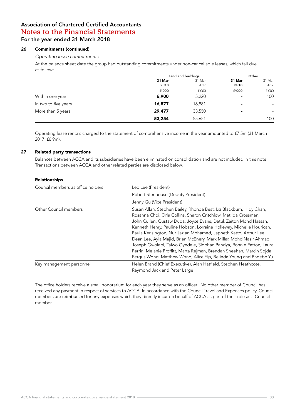#### 26 Commitments (continued)

#### *Operating lease commitments*

At the balance sheet date the group had outstanding commitments under non-cancellable leases, which fall due as follows.

|                      | <b>Land and buildings</b>        |                | Other          |                              |
|----------------------|----------------------------------|----------------|----------------|------------------------------|
|                      | 31 Mar<br>31 Mar<br>2017<br>2018 | 31 Mar<br>2018 | 31 Mar<br>2017 |                              |
|                      | £'000                            | f'000          | £'000          | £'000                        |
| Within one year      | 6,900                            | 5,220          | ٠              | 100                          |
| In two to five years | 16,877                           | 16,881         | $\blacksquare$ | $\qquad \qquad \blacksquare$ |
| More than 5 years    | 29,477                           | 33,550         | $\blacksquare$ | -                            |
|                      | 53,254                           | 55,651         |                | 100                          |

Operating lease rentals charged to the statement of comprehensive income in the year amounted to £7.5m (31 March 2017: £6.9m).

#### 27 Related party transactions

Balances between ACCA and its subsidiaries have been eliminated on consolidation and are not included in this note. Transactions between ACCA and other related parties are disclosed below.

#### Relationships

| Council members as office holders | Leo Lee (President)<br>Robert Stenhouse (Deputy President)                                                                                                                                                                                                                                                                                                                                                                                                                                                                                                                                                                                          |  |  |
|-----------------------------------|-----------------------------------------------------------------------------------------------------------------------------------------------------------------------------------------------------------------------------------------------------------------------------------------------------------------------------------------------------------------------------------------------------------------------------------------------------------------------------------------------------------------------------------------------------------------------------------------------------------------------------------------------------|--|--|
|                                   |                                                                                                                                                                                                                                                                                                                                                                                                                                                                                                                                                                                                                                                     |  |  |
|                                   | Jenny Gu (Vice President)                                                                                                                                                                                                                                                                                                                                                                                                                                                                                                                                                                                                                           |  |  |
| Other Council members             | Susan Allan, Stephen Bailey, Rhonda Best, Liz Blackburn, Hidy Chan,<br>Rosanna Choi, Orla Collins, Sharon Critchlow, Matilda Crossman,<br>John Cullen, Gustaw Duda, Joyce Evans, Datuk Zaiton Mohd Hassan,<br>Kenneth Henry, Pauline Hobson, Lorraine Holleway, Michelle Hourican,<br>Paula Kensington, Nur Jazlan Mohamed, Japheth Katto, Arthur Lee,<br>Dean Lee, Ayla Majid, Brian McEnery, Mark Millar, Mohd Nasir Ahmad,<br>Joseph Owolabi, Taiwo Oyedele, Siobhan Pandya, Ronnie Patton, Laura<br>Perrin, Melanie Proffitt, Marta Rejman, Brendan Sheehan, Marcin Sojda,<br>Fergus Wong, Matthew Wong, Alice Yip, Belinda Young and Phoebe Yu |  |  |
| Key management personnel          | Helen Brand (Chief Executive), Alan Hatfield, Stephen Heathcote,<br>Raymond Jack and Peter Large                                                                                                                                                                                                                                                                                                                                                                                                                                                                                                                                                    |  |  |

The office holders receive a small honorarium for each year they serve as an officer. No other member of Council has received any payment in respect of services to ACCA. In accordance with the Council Travel and Expenses policy, Council members are reimbursed for any expenses which they directly incur on behalf of ACCA as part of their role as a Council member.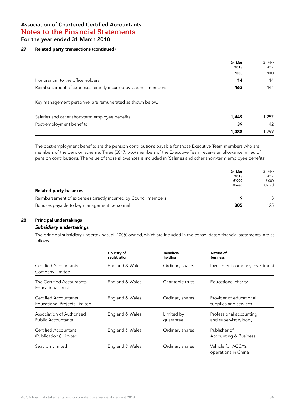#### 27 Related party transactions (continued)

|                                                                | 31 Mar<br>2018 | 31 Mar<br>2017 |
|----------------------------------------------------------------|----------------|----------------|
|                                                                | £'000          | f'000          |
| Honorarium to the office holders                               | 14             | 14             |
| Reimbursement of expenses directly incurred by Council members | 463            | 444            |

Key management personnel are remunerated as shown below.

| Salaries and other short-term employee benefits | 1,449 | 1.257 |  |
|-------------------------------------------------|-------|-------|--|
| 39<br>Post-employment benefits                  |       |       |  |
|                                                 | 1,488 | 1.299 |  |

The post-employment benefits are the pension contributions payable for those Executive Team members who are members of the pension scheme. Three (2017: two) members of the Executive Team receive an allowance in lieu of pension contributions. The value of those allowances is included in 'Salaries and other short-term employee benefits'.

|                                                                | 31 Mar | 31 Mar |
|----------------------------------------------------------------|--------|--------|
|                                                                | 2018   | 2017   |
|                                                                | £'000  | f'000  |
|                                                                | Owed   | Owed   |
| <b>Related party balances</b>                                  |        |        |
| Reimbursement of expenses directly incurred by Council members |        |        |
| Bonuses payable to key management personnel                    | 305    | 125    |

### 28 Principal undertakings

#### *Subsidiary undertakings*

The principal subsidiary undertakings, all 100% owned, which are included in the consolidated financial statements, are as follows:

|                                                              | Country of<br>registration | <b>Beneficial</b><br>holding | Nature of<br><b>business</b>                     |
|--------------------------------------------------------------|----------------------------|------------------------------|--------------------------------------------------|
| Certified Accountants<br>Company Limited                     | England & Wales            | Ordinary shares              | Investment company Investment                    |
| The Certified Accountants<br><b>Educational Trust</b>        | England & Wales            | Charitable trust             | Educational charity                              |
| Certified Accountants<br><b>Educational Projects Limited</b> | England & Wales            | Ordinary shares              | Provider of educational<br>supplies and services |
| Association of Authorised<br><b>Public Accountants</b>       | England & Wales            | Limited by<br>quarantee      | Professional accounting<br>and supervisory body  |
| Certified Accountant<br>(Publications) Limited               | England & Wales            | Ordinary shares              | Publisher of<br>Accounting & Business            |
| Seacron Limited                                              | England & Wales            | Ordinary shares              | Vehicle for ACCA's<br>operations in China        |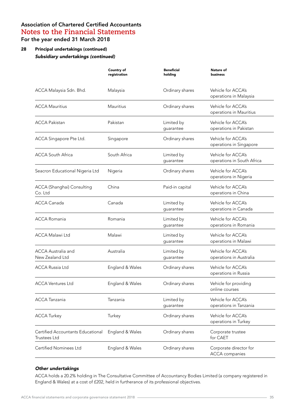## 28 Principal undertakings (continued) *Subsidiary undertakings (continued)*

|                                                          | Country of<br>registration | <b>Beneficial</b><br>holding | Nature of<br>business                            |
|----------------------------------------------------------|----------------------------|------------------------------|--------------------------------------------------|
| ACCA Malaysia Sdn. Bhd.                                  | Malaysia                   | Ordinary shares              | Vehicle for ACCA's<br>operations in Malaysia     |
| <b>ACCA Mauritius</b>                                    | Mauritius                  | Ordinary shares              | Vehicle for ACCA's<br>operations in Mauritius    |
| <b>ACCA Pakistan</b>                                     | Pakistan                   | Limited by<br>guarantee      | Vehicle for ACCA's<br>operations in Pakistan     |
| ACCA Singapore Pte Ltd.                                  | Singapore                  | Ordinary shares              | Vehicle for ACCA's<br>operations in Singapore    |
| <b>ACCA South Africa</b>                                 | South Africa               | Limited by<br>guarantee      | Vehicle for ACCA's<br>operations in South Africa |
| Seacron Educational Nigeria Ltd                          | Nigeria                    | Ordinary shares              | Vehicle for ACCA's<br>operations in Nigeria      |
| ACCA (Shanghai) Consulting<br>Co. Ltd                    | China                      | Paid-in capital              | Vehicle for ACCA's<br>operations in China        |
| ACCA Canada                                              | Canada                     | Limited by<br>guarantee      | Vehicle for ACCA's<br>operations in Canada       |
| <b>ACCA Romania</b>                                      | Romania                    | Limited by<br>guarantee      | Vehicle for ACCA's<br>operations in Romania      |
| <b>ACCA Malawi Ltd</b>                                   | Malawi                     | Limited by<br>guarantee      | Vehicle for ACCA's<br>operations in Malawi       |
| <b>ACCA Australia and</b><br>New Zealand Ltd             | Australia                  | Limited by<br>guarantee      | Vehicle for ACCA's<br>operations in Australia    |
| <b>ACCA Russia Ltd</b>                                   | England & Wales            | Ordinary shares              | Vehicle for ACCA's<br>operations in Russia       |
| <b>ACCA Ventures Ltd</b>                                 | England & Wales            | Ordinary shares              | Vehicle for providing<br>online courses          |
| <b>ACCA Tanzania</b>                                     | Tanzania                   | Limited by<br>guarantee      | Vehicle for ACCA's<br>operations in Tanzania     |
| <b>ACCA Turkey</b>                                       | Turkey                     | Ordinary shares              | Vehicle for ACCA's<br>operations in Turkey       |
| Certified Accountants Educational<br><b>Trustees Ltd</b> | England & Wales            | Ordinary shares              | Corporate trustee<br>for CAET                    |
| <b>Certified Nominees Ltd</b>                            | England & Wales            | Ordinary shares              | Corporate director for<br><b>ACCA</b> companies  |
|                                                          |                            |                              |                                                  |

#### *Other undertakings*

ACCA holds a 20.2% holding in The Consultative Committee of Accountancy Bodies Limited (a company registered in England & Wales) at a cost of £202, held in furtherance of its professional objectives.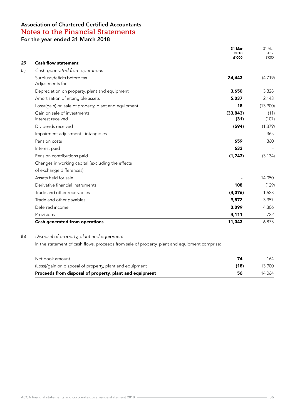|                                                      | 31 Mar<br>2018<br>£'000 | 31 Mar<br>2017<br>f'000 |
|------------------------------------------------------|-------------------------|-------------------------|
| <b>Cash flow statement</b>                           |                         |                         |
| Cash generated from operations                       |                         |                         |
| Surplus/(deficit) before tax<br>Adjustments for:     | 24,443                  | (4, 719)                |
| Depreciation on property, plant and equipment        | 3,650                   | 3,328                   |
| Amortisation of intangible assets                    | 5,037                   | 2,143                   |
| Loss/(gain) on sale of property, plant and equipment | 18                      | (13,900)                |
| Gain on sale of investments<br>Interest received     | (33, 843)<br>(31)       | (11)<br>(107)           |
| Dividends received                                   | (594)                   | (1, 379)                |
| Impairment adjustment - intangibles                  |                         | 365                     |
| Pension costs                                        | 659                     | 360                     |
| Interest paid                                        | 633                     |                         |
| Pension contributions paid                           | (1,743)                 | (3, 134)                |
| Changes in working capital (excluding the effects    |                         |                         |
| of exchange differences)                             |                         |                         |
| Assets held for sale                                 |                         | 14,050                  |
| Derivative financial instruments                     | 108                     | (129)                   |
| Trade and other receivables                          | (4,076)                 | 1,623                   |
| Trade and other payables                             | 9,572                   | 3,357                   |
| Deferred income                                      | 3,099                   | 4,306                   |
| Provisions                                           | 4,111                   | 722                     |
| Cash generated from operations                       | 11,043                  | 6,875                   |

#### (b) *Disposal of property, plant and equipment*

In the statement of cash flows, proceeds from sale of property, plant and equipment comprise:

| Net book amount                                          |      | 164    |
|----------------------------------------------------------|------|--------|
| (Loss)/gain on disposal of property, plant and equipment | (18) | 13,900 |
| Proceeds from disposal of property, plant and equipment  | 56   | 14.064 |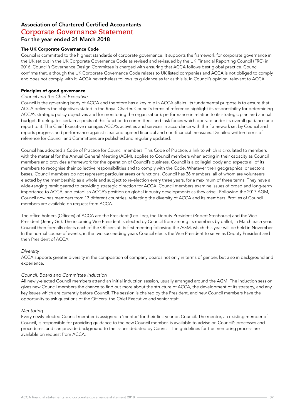#### The UK Corporate Governance Code

Council is committed to the highest standards of corporate governance. It supports the framework for corporate governance in the UK set out in the UK Corporate Governance Code as revised and re-issued by the UK Financial Reporting Council (FRC) in 2016. Council's Governance Design Committee is charged with ensuring that ACCA follows best global practice. Council confirms that, although the UK Corporate Governance Code relates to UK listed companies and ACCA is not obliged to comply, and does not comply, with it, ACCA nevertheless follows its guidance as far as this is, in Council's opinion, relevant to ACCA.

#### Principles of good governance

#### *Council and the Chief Executive*

Council is the governing body of ACCA and therefore has a key role in ACCA affairs. Its fundamental purpose is to ensure that ACCA delivers the objectives stated in the Royal Charter. Council's terms of reference highlight its responsibility for determining ACCA's strategic policy objectives and for monitoring the organisation's performance in relation to its strategic plan and annual budget. It delegates certain aspects of this function to committees and task forces which operate under its overall guidance and report to it. The Chief Executive manages ACCA's activities and services in accordance with the framework set by Council and reports progress and performance against clear and agreed financial and non-financial measures. Detailed written terms of reference for Council and Committees are published and regularly updated.

Council has adopted a Code of Practice for Council members. This Code of Practice, a link to which is circulated to members with the material for the Annual General Meeting (AGM), applies to Council members when acting in their capacity as Council members and provides a framework for the operation of Council's business. Council is a collegial body and expects all of its members to recognise their collective responsibilities and to comply with the Code. Whatever their geographical or sectoral bases, Council members do not represent particular areas or functions. Council has 36 members, all of whom are volunteers elected by the membership as a whole and subject to re-election every three years, for a maximum of three terms. They have a wide-ranging remit geared to providing strategic direction for ACCA. Council members examine issues of broad and long-term importance to ACCA, and establish ACCA's position on global industry developments as they arise. Following the 2017 AGM, Council now has members from 13 different countries, reflecting the diversity of ACCA and its members. Profiles of Council members are available on request from ACCA.

The office holders (Officers) of ACCA are the President (Leo Lee), the Deputy President (Robert Stenhouse) and the Vice President (Jenny Gu). The incoming Vice President is elected by Council from among its members by ballot, in March each year. Council then formally elects each of the Officers at its first meeting following the AGM, which this year will be held in November. In the normal course of events, in the two succeeding years Council elects the Vice President to serve as Deputy President and then President of ACCA.

#### *Diversity*

ACCA supports greater diversity in the composition of company boards not only in terms of gender, but also in background and experience.

#### *Council, Board and Committee induction*

All newly-elected Council members attend an initial induction session, usually arranged around the AGM. The induction session gives new Council members the chance to find out more about the structure of ACCA, the development of its strategy, and any key issues which are currently before Council. The session is chaired by the President, and new Council members have the opportunity to ask questions of the Officers, the Chief Executive and senior staff.

#### Mentoring

Every newly-elected Council member is assigned a 'mentor' for their first year on Council. The mentor, an existing member of Council, is responsible for providing guidance to the new Council member, is available to advise on Council's processes and procedures, and can provide background to the issues debated by Council. The guidelines for the mentoring process are available on request from ACCA.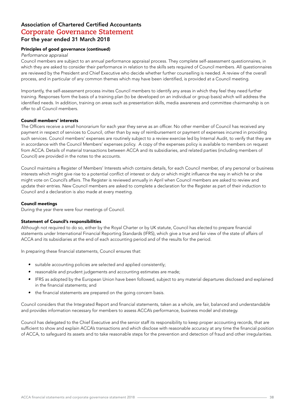#### Principles of good governance (continued)

#### *Performance appraisal*

Council members are subject to an annual performance appraisal process. They complete self-assessment questionnaires, in which they are asked to consider their performance in relation to the skills sets required of Council members. All questionnaires are reviewed by the President and Chief Executive who decide whether further counselling is needed. A review of the overall process, and in particular of any common themes which may have been identified, is provided at a Council meeting.

Importantly, the self-assessment process invites Council members to identify any areas in which they feel they need further training. Responses form the basis of a training plan (to be developed on an individual or group basis) which will address the identified needs. In addition, training on areas such as presentation skills, media awareness and committee chairmanship is on offer to all Council members.

#### Council members' interests

The Officers receive a small honorarium for each year they serve as an officer. No other member of Council has received any payment in respect of services to Council, other than by way of reimbursement or payment of expenses incurred in providing such services. Council members' expenses are routinely subject to a review exercise led by Internal Audit, to verify that they are in accordance with the Council Members' expenses policy. A copy of the expenses policy is available to members on request from ACCA. Details of material transactions between ACCA and its subsidiaries, and related parties (including members of Council) are provided in the notes to the accounts.

Council maintains a Register of Members' Interests which contains details, for each Council member, of any personal or business interests which might give rise to a potential conflict of interest or duty or which might influence the way in which he or she might vote on Council's affairs. The Register is reviewed annually in April when Council members are asked to review and update their entries. New Council members are asked to complete a declaration for the Register as part of their induction to Council and a declaration is also made at every meeting.

#### Council meetings

During the year there were four meetings of Council.

#### Statement of Council's responsibilities

Although not required to do so, either by the Royal Charter or by UK statute, Council has elected to prepare financial statements under International Financial Reporting Standards (IFRS), which give a true and fair view of the state of affairs of ACCA and its subsidiaries at the end of each accounting period and of the results for the period.

In preparing these financial statements, Council ensures that:

- *•* suitable accounting policies are selected and applied consistently;
- *•* reasonable and prudent judgements and accounting estimates are made;
- *•* IFRS as adopted by the European Union have been followed, subject to any material departures disclosed and explained in the financial statements; and
- *•* the financial statements are prepared on the going concern basis.

Council considers that the Integrated Report and financial statements, taken as a whole, are fair, balanced and understandable and provides information necessary for members to assess ACCA's performance, business model and strategy.

Council has delegated to the Chief Executive and the senior staff its responsibility to keep proper accounting records, that are sufficient to show and explain ACCA's transactions and which disclose with reasonable accuracy at any time the financial position of ACCA, to safeguard its assets and to take reasonable steps for the prevention and detection of fraud and other irregularities.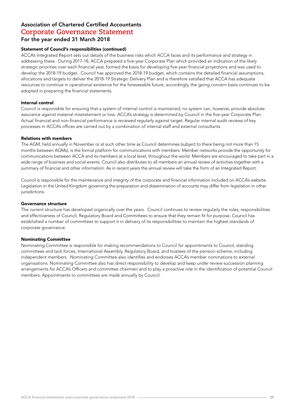#### Statement of Council's responsibilities (continued)

ACCA's Integrated Report sets out details of the business risks which ACCA faces and its performance and strategy in addressing these. During 2017-18, ACCA prepared a five-year Corporate Plan which provided an indication of the likely strategic priorities over each financial year, formed the basis for developing five-year financial projections and was used to develop the 2018-19 budget. Council has approved the 2018-19 budget, which contains the detailed financial assumptions, allocations and targets to deliver the 2018-19 Strategic Delivery Plan and is therefore satisfied that ACCA has adequate resources to continue in operational existence for the foreseeable future; accordingly, the going concern basis continues to be adopted in preparing the financial statements.

#### Internal control

Council is responsible for ensuring that a system of internal control is maintained; no system can, however, provide absolute assurance against material misstatement or loss. ACCA's strategy is determined by Council in the five-year Corporate Plan. Actual financial and non-financial performance is reviewed regularly against target. Regular internal audit reviews of key processes in ACCA's offices are carried out by a combination of internal staff and external consultants.

#### Relations with members

The AGM, held annually in November or at such other time as Council determines (subject to there being not more than 15 months between AGMs), is the formal platform for communications with members. Member networks provide the opportunity for communications between ACCA and its members at a local level, throughout the world. Members are encouraged to take part in a wide range of business and social events. Council also distributes to all members an annual review of activities together with a summary of financial and other information. As in recent years the annual review will take the form of an Integrated Report.

Council is responsible for the maintenance and integrity of the corporate and financial information included on ACCA's website. Legislation in the United Kingdom governing the preparation and dissemination of accounts may differ from legislation in other jurisdictions.

#### Governance structure

The current structure has developed organically over the years. Council continues to review regularly the roles, responsibilities and effectiveness of Council, Regulatory Board and Committees to ensure that they remain fit for purpose. Council has established a number of committees to support it in delivery of its responsibilities to maintain the highest standards of corporate governance.

#### Nominating Committee

Nominating Committee is responsible for making recommendations to Council for appointments to Council, standing committees and tack forces, International Assembly, Regulatory Board, and trustees of the pension scheme, including independent members. Nominating Committee also identifies and endorses ACCA's member nominations to external organisations. Nominating Committee also has direct responsibility to develop and keep under review succession planning arrangements for ACCA's Officers and committee chairmen and to play a proactive role in the identification of potential Council members. Appointments to committees are made annually by Council.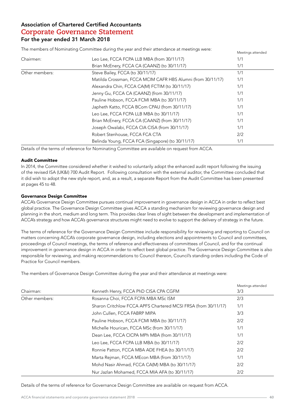The members of Nominating Committee during the year and their attendance at meetings were:<br>Meetings attended

|                |                                                             | ivieetings attended |
|----------------|-------------------------------------------------------------|---------------------|
| Chairmen:      | Leo Lee, FCCA FCPA LLB MBA (from 30/11/17)                  | 1/1                 |
|                | Brian McEnery, FCCA CA (CAANZ) (to 30/11/17)                | 1/1                 |
| Other members: | Steve Bailey, FCCA (to 30/11/17)                            | 1/1                 |
|                | Matilda Crossman, FCCA MCIM CAFR HBS Alumni (from 30/11/17) | 1/1                 |
|                | Alexandra Chin, FCCA CA(M) FCTIM (to 30/11/17)              | 1/1                 |
|                | Jenny Gu, FCCA CA (CAANZ) (from 30/11/17)                   | 1/1                 |
|                | Pauline Hobson, FCCA FCMI MBA (to 30/11/17)                 | 1/1                 |
|                | Japheth Katto, FCCA BCom CPAU (from 30/11/17)               | 1/1                 |
|                | Leo Lee, FCCA FCPA LLB MBA (to 30/11/17)                    | 1/1                 |
|                | Brian McEnery, FCCA CA (CAANZ) (from 30/11/17)              | 1/1                 |
|                | Joseph Owalabi, FCCA CIA CISA (from 30/11/17)               | 1/1                 |
|                | Robert Stenhouse, FCCA FCA CTA                              | 2/2                 |
|                | Belinda Young, FCCA FCA (Singapore) (to 30/11/17)           | 1/1                 |

Details of the terms of reference for Nominating Committee are available on request from ACCA.

#### Audit Committee

In 2014, the Committee considered whether it wished to voluntarily adopt the enhanced audit report following the issuing of the revised ISA (UK&I) 700 Audit Report. Following consultation with the external auditor, the Committee concluded that it did wish to adopt the new style report, and, as a result, a separate Report from the Audit Committee has been presented at pages 45 to 48.

#### Governance Design Committee

ACCA's Governance Design Committee pursues continual improvement in governance design in ACCA in order to reflect best global practice. The Governance Design Committee gives ACCA a standing mechanism for reviewing governance design and planning in the short, medium and long term. This provides clear lines of sight between the development and implementation of ACCA's strategy and how ACCA's governance structures might need to evolve to support the delivery of strategy in the future.

The terms of reference for the Governance Design Committee include responsibility for reviewing and reporting to Council on matters concerning ACCA's corporate governance design, including elections and appointments to Council and committees, proceedings of Council meetings, the terms of reference and effectiveness of committees of Council, and for the continual improvement in governance design in ACCA in order to reflect best global practice. The Governance Design Committee is also responsible for reviewing, and making recommendations to Council thereon, Council's standing orders including the Code of Practice for Council members.

The members of Governance Design Committee during the year and their attendance at meetings were:

|                |                                                                | Meetings attended |
|----------------|----------------------------------------------------------------|-------------------|
| Chairman:      | Kenneth Henry, FCCA PhD CISA CPA CGFM                          | 3/3               |
| Other members: | Rosanna Choi, FCCA FCPA MBA MSc ISM                            | 2/3               |
|                | Sharon Critchlow FCCA APFS Chartered MCSI FRSA (from 30/11/17) | 1/1               |
|                | John Cullen, FCCA FABRP MIPA                                   | 3/3               |
|                | Pauline Hobson, FCCA FCMI MBA (to 30/11/17)                    | 2/2               |
|                | Michelle Hourican, FCCA MSc (from 30/11/17)                    | 1/1               |
|                | Dean Lee, FCCA CICPA MPh MBA (from 30/11/17)                   | 1/1               |
|                | Leo Lee, FCCA FCPA LLB MBA (to 30/11/17)                       | 2/2               |
|                | Ronnie Patton, FCCA MBA ADE FHEA (to 30/11/17)                 | 2/2               |
|                | Marta Rejman, FCCA MEcon MBA (from 30/11/17)                   | 1/1               |
|                | Mohd Nasir Ahmad, FCCA CA(M) MBA (to 30/11/17)                 | 2/2               |
|                | Nur Jazlan Mohamed, FCCA MIA AFA (to 30/11/17)                 | 2/2               |

Details of the terms of reference for Governance Design Committee are available on request from ACCA.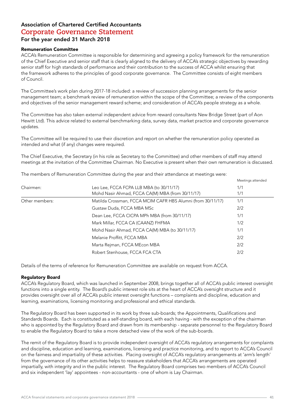#### Remuneration Committee

ACCA's Remuneration Committee is responsible for determining and agreeing a policy framework for the remuneration of the Chief Executive and senior staff that is clearly aligned to the delivery of ACCA's strategic objectives by rewarding senior staff for high standards of performance and their contribution to the success of ACCA whilst ensuring that the framework adheres to the principles of good corporate governance. The Committee consists of eight members of Council.

The Committee's work plan during 2017-18 included: a review of succession planning arrangements for the senior management team; a benchmark review of remuneration within the scope of the Committee; a review of the components and objectives of the senior management reward scheme; and consideration of ACCA's people strategy as a whole.

The Committee has also taken external independent advice from reward consultants New Bridge Street (part of Aon Hewitt Ltd). This advice related to external benchmarking data, survey data, market practice and corporate governance updates.

The Committee will be required to use their discretion and report on whether the remuneration policy operated as intended and what (if any) changes were required.

The Chief Executive, the Secretary (in his role as Secretary to the Committee) and other members of staff may attend meetings at the invitation of the Committee Chairman. No Executive is present when their own remuneration is discussed.

The members of Remuneration Committee during the year and their attendance at meetings were:

| Chairmen:      | Leo Lee, FCCA FCPA LLB MBA (to 30/11/17)                    | 1/1 |
|----------------|-------------------------------------------------------------|-----|
|                | Mohd Nasir Ahmad, FCCA CA(M) MBA (from 30/11/17)            | 1/1 |
| Other members: | Matilda Crossman, FCCA MCIM CAFR HBS Alumni (from 30/11/17) | 1/1 |
|                | Gustaw Duda, FCCA MBA MSc                                   | 2/2 |
|                | Dean Lee, FCCA CICPA MPh MBA (from 30/11/17)                | 1/1 |
|                | Mark Millar, FCCA CA (CAANZ) FHFMA                          | 1/2 |
|                | Mohd Nasir Ahmad, FCCA CA(M) MBA (to 30/11/17)              | 1/1 |
|                | Melanie Proffitt, FCCA MBA                                  | 2/2 |
|                | Marta Rejman, FCCA MEcon MBA                                | 2/2 |
|                | Robert Stenhouse, FCCA FCA CTA                              | 2/2 |

Details of the terms of reference for Remuneration Committee are available on request from ACCA.

#### Regulatory Board

ACCA's Regulatory Board, which was launched in September 2008, brings together all of ACCA's public interest oversight functions into a single entity. The Board's public interest role sits at the heart of ACCA's oversight structure and it provides oversight over all of ACCA's public interest oversight functions – complaints and discipline, education and learning, examinations, licensing monitoring and professional and ethical standards.

The Regulatory Board has been supported in its work by three sub-boards; the Appointments, Qualifications and Standards Boards. Each is constituted as a self-standing board, with each having - with the exception of the chairman who is appointed by the Regulatory Board and drawn from its membership - separate personnel to the Regulatory Board to enable the Regulatory Board to take a more detached view of the work of the sub-boards.

The remit of the Regulatory Board is to provide independent oversight of ACCA's regulatory arrangements for complaints and discipline, education and learning, examinations, licensing and practice monitoring, and to report to ACCA's Council on the fairness and impartiality of these activities. Placing oversight of ACCA's regulatory arrangements at 'arm's length' from the governance of its other activities helps to reassure stakeholders that ACCA's arrangements are operated impartially, with integrity and in the public interest. The Regulatory Board comprises two members of ACCA's Council and six independent 'lay' appointees - non-accountants - one of whom is Lay Chairman.

Meetings attended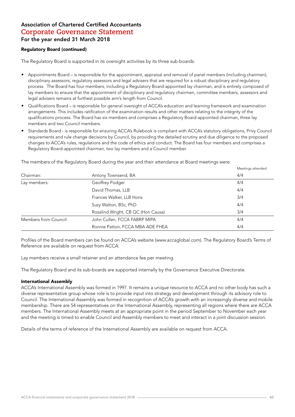#### Regulatory Board (continued)

The Regulatory Board is supported in its oversight activities by its three sub-boards:

- *•* Appointments Board is responsible for the appointment, appraisal and removal of panel members (including chairmen), disciplinary assessors, regulatory assessors and legal advisers that are required for a robust disciplinary and regulatory process. The Board has four members, including a Regulatory Board-appointed lay chairman, and is entirely composed of lay members to ensure that the appointment of disciplinary and regulatory chairmen, committee members, assessors and legal advisers remains at furthest possible arm's length from Council.
- *•* Qualifications Board is responsible for general oversight of ACCA's education and learning framework and examination arrangements. This includes ratification of the examination results and other matters relating to the integrity of the qualifications process. The Board has six members and comprises a Regulatory Board-appointed chairman, three lay members and two Council members.
- *•* Standards Board is responsible for ensuring ACCA's Rulebook is compliant with ACCA's statutory obligations, Privy Council requirements and rule change decisions by Council, by providing the detailed scrutiny and due diligence to the proposed changes to ACCA's rules, regulations and the code of ethics and conduct. The Board has four members and comprises a Regulatory Board-appointed chairman, two lay members and a Council member.

The members of the Regulatory Board during the year and their attendance at Board meetings were:

|                       |                                    | Meetings attended |
|-----------------------|------------------------------------|-------------------|
| Chairman:             | Antony Townsend, BA                | 4/4               |
| Lay members:          | Geoffrey Podger                    | 4/4               |
|                       | David Thomas, LLB                  | 4/4               |
|                       | Frances Walker, LLB Hons           | 3/4               |
|                       | Suzy Walton, BSc, PhD              | 4/4               |
|                       | Rosalind Wright, CB QC (Hon Causa) | 3/4               |
| Members from Council: | John Cullen, FCCA FABRP MIPA       | 4/4               |
|                       | Ronnie Patton, FCCA MBA ADE FHEA   | 4/4               |

Profiles of the Board members can be found on ACCA's website (www.accaglobal.com). The Regulatory Board's Terms of Reference are available on request from ACCA.

Lay members receive a small retainer and an attendance fee per meeting.

The Regulatory Board and its sub-boards are supported internally by the Governance Executive Directorate.

#### International Assembly

ACCA's International Assembly was formed in 1997. It remains a unique resource to ACCA and no other body has such a diverse representative group whose role is to provide input into strategy and development through its advisory role to Council. The International Assembly was formed in recognition of ACCA's growth with an increasingly diverse and mobile membership. There are 54 representatives on the International Assembly, representing all regions where there are ACCA members. The International Assembly meets at an appropriate point in the period September to November each year and the meeting is timed to enable Council and Assembly members to meet and interact in a joint discussion session.

Details of the terms of reference of the International Assembly are available on request from ACCA.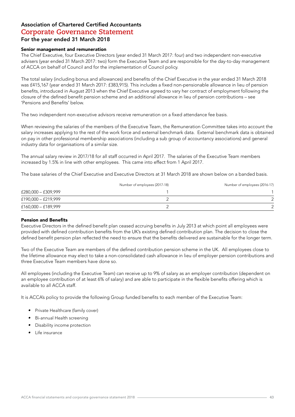#### Senior management and remuneration

The Chief Executive, four Executive Directors (year ended 31 March 2017: four) and two independent non-executive advisers (year ended 31 March 2017: two) form the Executive Team and are responsible for the day-to-day management of ACCA on behalf of Council and for the implementation of Council policy.

The total salary (including bonus and allowances) and benefits of the Chief Executive in the year ended 31 March 2018 was £415,167 (year ended 31 March 2017: £383,915). This includes a fixed non-pensionable allowance in lieu of pension benefits, introduced in August 2013 when the Chief Executive agreed to vary her contract of employment following the closure of the defined benefit pension scheme and an additional allowance in lieu of pension contributions – see 'Pensions and Benefits' below.

The two independent non-executive advisors receive remuneration on a fixed attendance fee basis.

When reviewing the salaries of the members of the Executive Team, the Remuneration Committee takes into account the salary increases applying to the rest of the work force and external benchmark data. External benchmark data is obtained on pay in other professional membership associations (including a sub group of accountancy associations) and general industry data for organisations of a similar size.

The annual salary review in 2017/18 for all staff occurred in April 2017. The salaries of the Executive Team members increased by 1.5% in line with other employees. This came into effect from 1 April 2017.

The base salaries of the Chief Executive and Executive Directors at 31 March 2018 are shown below on a banded basis.

|                     | Number of employees (2017-18) | Number of employees (2016-17) |
|---------------------|-------------------------------|-------------------------------|
| £280,000 - £309,999 |                               |                               |
| £190,000 - £219,999 |                               |                               |
| £160,000 - £189,999 |                               | $\Omega$                      |

#### Pension and Benefits

Executive Directors in the defined benefit plan ceased accruing benefits in July 2013 at which point all employees were provided with defined contribution benefits from the UK's existing defined contribution plan. The decision to close the defined benefit pension plan reflected the need to ensure that the benefits delivered are sustainable for the longer term.

Two of the Executive Team are members of the defined contribution pension scheme in the UK. All employees close to the lifetime allowance may elect to take a non-consolidated cash allowance in lieu of employer pension contributions and three Executive Team members have done so.

All employees (including the Executive Team) can receive up to 9% of salary as an employer contribution (dependent on an employee contribution of at least 6% of salary) and are able to participate in the flexible benefits offering which is available to all ACCA staff.

It is ACCA's policy to provide the following Group funded benefits to each member of the Executive Team:

- *•* Private Healthcare (family cover)
- *•* Bi-annual Health screening
- *•* Disability income protection
- *•* Life insurance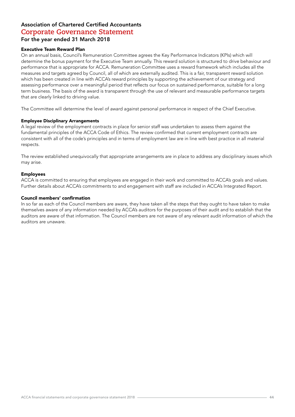#### Executive Team Reward Plan

On an annual basis, Council's Remuneration Committee agrees the Key Performance Indicators (KPIs) which will determine the bonus payment for the Executive Team annually. This reward solution is structured to drive behaviour and performance that is appropriate for ACCA. Remuneration Committee uses a reward framework which includes all the measures and targets agreed by Council, all of which are externally audited. This is a fair, transparent reward solution which has been created in line with ACCA's reward principles by supporting the achievement of our strategy and assessing performance over a meaningful period that reflects our focus on sustained performance, suitable for a long term business. The basis of the award is transparent through the use of relevant and measurable performance targets that are clearly linked to driving value.

The Committee will determine the level of award against personal performance in respect of the Chief Executive.

#### Employee Disciplinary Arrangements

A legal review of the employment contracts in place for senior staff was undertaken to assess them against the fundamental principles of the ACCA Code of Ethics. The review confirmed that current employment contracts are consistent with all of the code's principles and in terms of employment law are in line with best practice in all material respects.

The review established unequivocally that appropriate arrangements are in place to address any disciplinary issues which may arise.

#### Employees

ACCA is committed to ensuring that employees are engaged in their work and committed to ACCA's goals and values. Further details about ACCA's commitments to and engagement with staff are included in ACCA's Integrated Report.

#### Council members' confirmation

In so far as each of the Council members are aware, they have taken all the steps that they ought to have taken to make themselves aware of any information needed by ACCA's auditors for the purposes of their audit and to establish that the auditors are aware of that information. The Council members are not aware of any relevant audit information of which the auditors are unaware.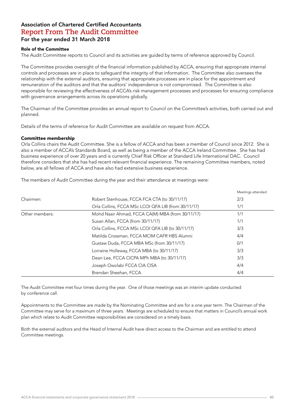#### Role of the Committee

The Audit Committee reports to Council and its activities are guided by terms of reference approved by Council.

The Committee provides oversight of the financial information published by ACCA, ensuring that appropriate internal controls and processes are in place to safeguard the integrity of that information. The Committee also oversees the relationship with the external auditors, ensuring that appropriate processes are in place for the appointment and remuneration of the auditors and that the auditors' independence is not compromised. The Committee is also responsible for reviewing the effectiveness of ACCA's risk management processes and processes for ensuring compliance with governance arrangements across its operations globally.

The Chairman of the Committee provides an annual report to Council on the Committee's activities, both carried out and planned.

Details of the terms of reference for Audit Committee are available on request from ACCA.

#### Committee membership

Orla Collins chairs the Audit Committee. She is a fellow of ACCA and has been a member of Council since 2012. She is also a member of ACCA's Standards Board, as well as being a member of the ACCA Ireland Committee. She has had business experience of over 20 years and is currently Chief Risk Officer at Standard Life International DAC. Council therefore considers that she has had recent relevant financial experience. The remaining Committee members, noted below, are all fellows of ACCA and have also had extensive business experience.

The members of Audit Committee during the year and their attendance at meetings were:

|                |                                                     | Meetings attended |
|----------------|-----------------------------------------------------|-------------------|
| Chairmen:      | Robert Stenhouse, FCCA FCA CTA (to 30/11/17)        | 2/3               |
|                | Orla Collins, FCCA MSc LCOI QFA LIB (from 30/11/17) | 1/1               |
| Other members: | Mohd Nasir Ahmad, FCCA CA(M) MBA (from 30/11/17)    | 1/1               |
|                | Susan Allan, FCCA (from 30/11/17)                   | 1/1               |
|                | Orla Collins, FCCA MSc LCOI QFA LIB (to 30/11/17)   | 3/3               |
|                | Matilda Crossman, FCCA MCIM CAFR HBS Alumni         | 4/4               |
|                | Gustaw Duda, FCCA MBA MSc (from 30/11/17)           | 0/1               |
|                | Lorraine Holleway, FCCA MBA (to 30/11/17)           | 3/3               |
|                | Dean Lee, FCCA CICPA MPh MBA (to 30/11/17)          | 3/3               |
|                | Joseph Owolabi FCCA CIA CISA                        | 4/4               |
|                | Brendan Sheehan, FCCA                               | 4/4               |

The Audit Committee met four times during the year. One of those meetings was an interim update conducted by conference call.

Appointments to the Committee are made by the Nominating Committee and are for a one year term. The Chairman of the Committee may serve for a maximum of three years. Meetings are scheduled to ensure that matters in Council's annual work plan which relate to Audit Committee responsibilities are considered on a timely basis.

Both the external auditors and the Head of Internal Audit have direct access to the Chairman and are entitled to attend Committee meetings.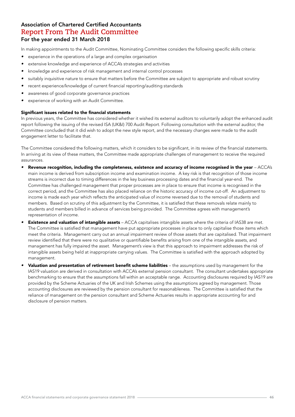In making appointments to the Audit Committee, Nominating Committee considers the following specific skills criteria:

- *•* experience in the operations of a large and complex organisation
- extensive knowledge and experience of ACCA's strategies and activities
- *•* knowledge and experience of risk management and internal control processes
- *•* suitably inquisitive nature to ensure that matters before the Committee are subject to appropriate and robust scrutiny
- *•* recent experience/knowledge of current financial reporting/auditing standards
- *•* awareness of good corporate governance practices
- *•* experience of working with an Audit Committee.

#### Significant issues related to the financial statements

In previous years, the Committee has considered whether it wished its external auditors to voluntarily adopt the enhanced audit report following the issuing of the revised ISA (UK&I) 700 Audit Report. Following consultation with the external auditor, the Committee concluded that it did wish to adopt the new style report, and the necessary changes were made to the audit engagement letter to facilitate that.

The Committee considered the following matters, which it considers to be significant, in its review of the financial statements. In arriving at its view of these matters, the Committee made appropriate challenges of management to receive the required assurances.

- **Revenue recognition, including the completeness, existence and accuracy of income recognised in the year ACCA's** main income is derived from subscription income and examination income. A key risk is that recognition of those income streams is incorrect due to timing differences in the key business processing dates and the financial year-end. The Committee has challenged management that proper processes are in place to ensure that income is recognised in the correct period, and the Committee has also placed reliance on the historic accuracy of income cut-off. An adjustment to income is made each year which reflects the anticipated value of income reversed due to the removal of students and members. Based on scrutiny of this adjustment by the Committee, it is satisfied that these removals relate mainly to students and members billed in advance of services being provided. The Committee agrees with management's representation of income.
- **Existence and valuation of intangible assets** ACCA capitalises intangible assets where the criteria of IAS38 are met. The Committee is satisfied that management have put appropriate processes in place to only capitalise those items which meet the criteria. Management carry out an annual impairment review of those assets that are capitalised. That impairment review identified that there were no qualitative or quantifiable benefits arising from one of the intangible assets, and management has fully impaired the asset. Management's view is that this approach to impairment addresses the risk of intangible assets being held at inappropriate carrying values. The Committee is satisfied with the approach adopted by management.
- **Valuation and presentation of retirement benefit scheme liabilities the assumptions used by management for the** IAS19 valuation are derived in consultation with ACCA's external pension consultant. The consultant undertakes appropriate benchmarking to ensure that the assumptions fall within an acceptable range. Accounting disclosures required by IAS19 are provided by the Scheme Actuaries of the UK and Irish Schemes using the assumptions agreed by management. Those accounting disclosures are reviewed by the pension consultant for reasonableness. The Committee is satisfied that the reliance of management on the pension consultant and Scheme Actuaries results in appropriate accounting for and disclosure of pension matters.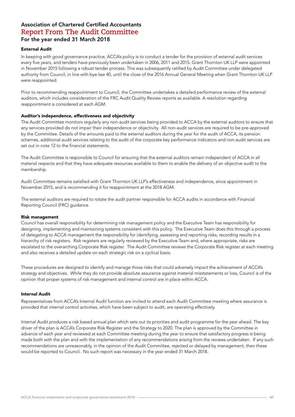#### External Audit

In keeping with good governance practice, ACCA's policy is to conduct a tender for the provision of external audit services every five years, and tenders have previously been undertaken in 2006, 2011 and 2015. Grant Thornton UK LLP were appointed in November 2015 following a robust tender process. This was subsequently ratified by Audit Committee under delegated authority from Council, in line with bye-law 40, until the close of the 2016 Annual General Meeting when Grant Thornton UK LLP were reappointed.

Prior to recommending reappointment to Council, the Committee undertakes a detailed performance review of the external auditors, which includes consideration of the FRC Audit Quality Review reports as available. A resolution regarding reappointment is considered at each AGM.

#### Auditor's independence, effectiveness and objectivity

The Audit Committee monitors regularly any non-audit services being provided to ACCA by the external auditors to ensure that any services provided do not impair their independence or objectivity. All non-audit services are required to be pre-approved by the Committee. Details of the amounts paid to the external auditors during the year for the audit of ACCA, its pension schemes, additional audit services relating to the audit of the corporate key performance indicators and non-audit services are set out in note 12 to the financial statements.

The Audit Committee is responsible to Council for ensuring that the external auditors remain independent of ACCA in all material respects and that they have adequate resources available to them to enable the delivery of an objective audit to the membership.

Audit Committee remains satisfied with Grant Thornton UK LLP's effectiveness and independence, since appointment in November 2015, and is recommending it for reappointment at the 2018 AGM.

The external auditors are required to rotate the audit partner responsible for ACCA audits in accordance with Financial Reporting Council (FRC) guidance.

#### Risk management

Council has overall responsibility for determining risk management policy and the Executive Team has responsibility for designing, implementing and maintaining systems consistent with this policy. The Executive Team does this through a process of delegating to ACCA management the responsibility for identifying, assessing and reporting risks, recording results in a hierarchy of risk registers. Risk registers are regularly reviewed by the Executive Team and, where appropriate, risks are escalated to the overarching Corporate Risk register. The Audit Committee reviews the Corporate Risk register at each meeting and also receives a detailed update on each strategic risk on a cyclical basis.

These procedures are designed to identify and manage those risks that could adversely impact the achievement of ACCA's strategy and objectives. While they do not provide absolute assurance against material misstatements or loss, Council is of the opinion that proper systems of risk management and internal control are in place within ACCA.

#### Internal Audit

Representatives from ACCA's Internal Audit function are invited to attend each Audit Committee meeting where assurance is provided that internal control activities, which have been subject to audit, are operating effectively.

Internal Audit produces a risk based annual plan which sets out its priorities and audit programme for the year ahead. The key driver of the plan is ACCA's Corporate Risk Register and the Strategy to 2020. The plan is approved by the Committee in advance of each year and reviewed at each Committee meeting during the year to ensure that satisfactory progress is being made both with the plan and with the implementation of any recommendations arising from the reviews undertaken. If any such recommendations are unreasonably, in the opinion of the Audit Committee, rejected or delayed by management, then these would be reported to Council. No such report was necessary in the year ended 31 March 2018.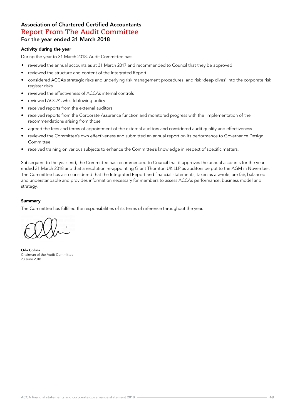#### Activity during the year

During the year to 31 March 2018, Audit Committee has:

- *•* reviewed the annual accounts as at 31 March 2017 and recommended to Council that they be approved
- reviewed the structure and content of the Integrated Report
- considered ACCA's strategic risks and underlying risk management procedures, and risk 'deep dives' into the corporate risk register risks
- reviewed the effectiveness of ACCA's internal controls
- reviewed ACCA's whistleblowing policy
- received reports from the external auditors
- received reports from the Corporate Assurance function and monitored progress with the implementation of the recommendations arising from those
- agreed the fees and terms of appointment of the external auditors and considered audit quality and effectiveness
- reviewed the Committee's own effectiveness and submitted an annual report on its performance to Governance Design Committee
- received training on various subjects to enhance the Committee's knowledge in respect of specific matters.

Subsequent to the year-end, the Committee has recommended to Council that it approves the annual accounts for the year ended 31 March 2018 and that a resolution re-appointing Grant Thornton UK LLP as auditors be put to the AGM in November. The Committee has also considered that the Integrated Report and financial statements, taken as a whole, are fair, balanced and understandable and provides information necessary for members to assess ACCA's performance, business model and strategy.

#### Summary

The Committee has fulfilled the responsibilities of its terms of reference throughout the year.

Orla Collins Chairman of the Audit Committee 23 June 2018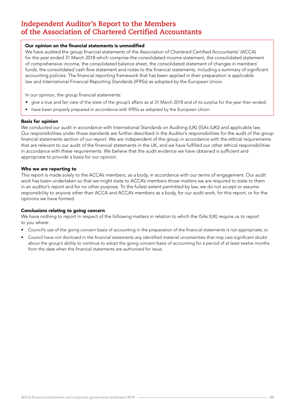#### Our opinion on the financial statements is unmodified

We have audited the group financial statements of the Association of Chartered Certified Accountants' (ACCA) for the year ended 31 March 2018 which comprise the consolidated income statement, the consolidated statement of comprehensive income, the consolidated balance sheet, the consolidated statement of changes in members' funds, the consolidated cash flow statement and notes to the financial statements, including a summary of significant accounting policies. The financial reporting framework that has been applied in their preparation is applicable law and International Financial Reporting Standards (IFRSs) as adopted by the European Union.

In our opinion, the group financial statements:

- give a true and fair view of the state of the group's affairs as at 31 March 2018 and of its surplus for the year then ended;
- have been properly prepared in accordance with IFRSs as adopted by the European Union.

#### Basis for opinion

We conducted our audit in accordance with International Standards on Auditing (UK) (ISAs (UK)) and applicable law. Our responsibilities under those standards are further described in the Auditor's responsibilities for the audit of the group financial statements section of our report. We are independent of the group in accordance with the ethical requirements that are relevant to our audit of the financial statements in the UK, and we have fulfilled our other ethical responsibilities in accordance with these requirements. We believe that the audit evidence we have obtained is sufficient and appropriate to provide a basis for our opinion.

#### Who we are reporting to

This report is made solely to the ACCA's members, as a body, in accordance with our terms of engagement. Our audit work has been undertaken so that we might state to ACCA's members those matters we are required to state to them in an auditor's report and for no other purpose. To the fullest extent permitted by law, we do not accept or assume responsibility to anyone other than ACCA and ACCA's members as a body, for our audit work, for this report, or for the opinions we have formed.

#### Conclusions relating to going concern

We have nothing to report in respect of the following matters in relation to which the ISAs (UK) require us to report to you where:

- Council's use of the going concern basis of accounting in the preparation of the financial statements is not appropriate; or
- Council have not disclosed in the financial statements any identified material uncertainties that may cast significant doubt about the group's ability to continue to adopt the going concern basis of accounting for a period of at least twelve months from the date when the financial statements are authorised for issue.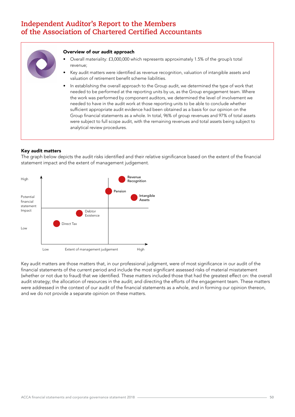

#### Overview of our audit approach

- Overall materiality: £3,000,000 which represents approximately 1.5% of the group's total revenue;
- Key audit matters were identified as revenue recognition, valuation of intangible assets and valuation of retirement benefit scheme liabilities.
- In establishing the overall approach to the Group audit, we determined the type of work that needed to be performed at the reporting units by us, as the Group engagement team. Where the work was performed by component auditors, we determined the level of involvement we needed to have in the audit work at those reporting units to be able to conclude whether sufficient appropriate audit evidence had been obtained as a basis for our opinion on the Group financial statements as a whole. In total, 96% of group revenues and 97% of total assets were subject to full scope audit, with the remaining revenues and total assets being subject to analytical review procedures.

#### Key audit matters

The graph below depicts the audit risks identified and their relative significance based on the extent of the financial statement impact and the extent of management judgement.



Key audit matters are those matters that, in our professional judgment, were of most significance in our audit of the financial statements of the current period and include the most significant assessed risks of material misstatement (whether or not due to fraud) that we identified. These matters included those that had the greatest effect on: the overall audit strategy; the allocation of resources in the audit; and directing the efforts of the engagement team. These matters were addressed in the context of our audit of the financial statements as a whole, and in forming our opinion thereon, and we do not provide a separate opinion on these matters.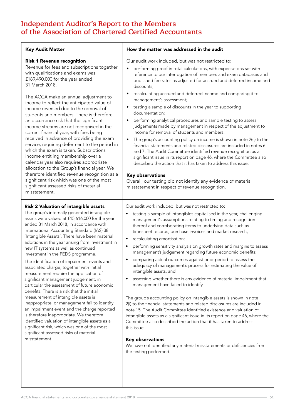| <b>Key Audit Matter</b>                                                                                                                                                                                                                                                                                                                                                                                                                                                                                                                                                                                                                                                                                                                                                                                                                                                                                                                                                                                                                           | How the matter was addressed in the audit                                                                                                                                                                                                                                                                                                                                                                                                                                                                                                                                                                                                                                                                                                                                                                                                                                                                                                                                                                                                                                                                                                                                                                                                                                                                                                               |  |
|---------------------------------------------------------------------------------------------------------------------------------------------------------------------------------------------------------------------------------------------------------------------------------------------------------------------------------------------------------------------------------------------------------------------------------------------------------------------------------------------------------------------------------------------------------------------------------------------------------------------------------------------------------------------------------------------------------------------------------------------------------------------------------------------------------------------------------------------------------------------------------------------------------------------------------------------------------------------------------------------------------------------------------------------------|---------------------------------------------------------------------------------------------------------------------------------------------------------------------------------------------------------------------------------------------------------------------------------------------------------------------------------------------------------------------------------------------------------------------------------------------------------------------------------------------------------------------------------------------------------------------------------------------------------------------------------------------------------------------------------------------------------------------------------------------------------------------------------------------------------------------------------------------------------------------------------------------------------------------------------------------------------------------------------------------------------------------------------------------------------------------------------------------------------------------------------------------------------------------------------------------------------------------------------------------------------------------------------------------------------------------------------------------------------|--|
| <b>Risk 1 Revenue recognition</b><br>Revenue for fees and subscriptions together<br>with qualifications and exams was<br>£189,490,000 for the year ended<br>31 March 2018.<br>The ACCA make an annual adjustment to<br>income to reflect the anticipated value of<br>income reversed due to the removal of<br>students and members. There is therefore<br>an occurrence risk that the significant<br>income streams are not recognised in the<br>correct financial year, with fees being<br>received in advance of providing the exam<br>service, requiring deferment to the period in<br>which the exam is taken. Subscriptions<br>income entitling membership over a<br>calendar year also requires appropriate<br>allocation to the Group's financial year. We<br>therefore identified revenue recognition as a<br>significant risk which was one of the most<br>significant assessed risks of material<br>misstatement.                                                                                                                       | Our audit work included, but was not restricted to:<br>performing proof in total calculations, with expectations set with<br>$\bullet$<br>reference to our interrogation of members and exam databases and<br>published fee rates as adjusted for accrued and deferred income and<br>discounts;<br>recalculating accrued and deferred income and comparing it to<br>$\bullet$<br>management's assessment;<br>testing a sample of discounts in the year to supporting<br>٠<br>documentation;<br>performing analytical procedures and sample testing to assess<br>$\bullet$<br>judgements made by management in respect of the adjustment to<br>income for removal of students and members.<br>The group's accounting policy on income is shown in note 2(c) to the<br>$\bullet$<br>financial statements and related disclosures are included in notes 6<br>and 7. The Audit Committee identified revenue recognition as a<br>significant issue in its report on page 46, where the Committee also<br>described the action that it has taken to address this issue.<br><b>Key observations</b><br>Overall, our testing did not identify any evidence of material<br>misstatement in respect of revenue recognition.                                                                                                                                       |  |
| <b>Risk 2 Valuation of intangible assets</b><br>The group's internally generated intangible<br>assets were valued at £15,616,000 for the year<br>ended 31 March 2018, in accordance with<br>International Accounting Standard (IAS) 38<br>'Intangible Assets'. There have been material<br>additions in the year arising from investment in<br>new IT systems as well as continued<br>investment in the FEDS programme.<br>The identification of impairment events and<br>associated charge, together with initial<br>measurement require the application of<br>significant management judgement, in<br>particular the assessment of future economic<br>benefits. There is a risk that the initial<br>measurement of intangible assets is<br>inappropriate, or management fail to identify<br>an impairment event and the charge reported<br>is therefore inappropriate. We therefore<br>identified valuation of intangible assets as a<br>significant risk, which was one of the most<br>significant assessed risks of material<br>misstatement. | Our audit work included, but was not restricted to:<br>testing a sample of intangibles capitalised in the year, challenging<br>$\bullet$<br>management's assumptions relating to timing and recognition<br>thereof and corroborating items to underlying data such as<br>timesheet records, purchase invoices and market research;<br>recalculating amortisation;<br>$\bullet$<br>performing sensitivity analysis on growth rates and margins to assess<br>$\bullet$<br>management's judgement regarding future economic benefits;<br>comparing actual outcomes against prior period to assess the<br>٠<br>adequacy of management's process for estimating the value of<br>intangible assets, and<br>assessing whether there is any evidence of material impairment that<br>$\bullet$<br>management have failed to identify.<br>The group's accounting policy on intangible assets is shown in note<br>2(i) to the financial statements and related disclosures are included in<br>note 15. The Audit Committee identified existence and valuation of<br>intangible assets as a significant issue in its report on page 46, where the<br>Committee also described the action that it has taken to address<br>this issue.<br><b>Key observations</b><br>We have not identified any material misstatements or deficiencies from<br>the testing performed. |  |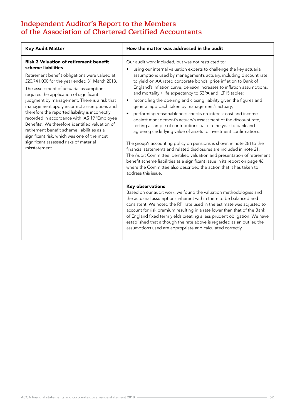| <b>Key Audit Matter</b>                                                                                                                                                                                                                                                                                                                                                                                                                                                                                                                                                                                                                                                 | How the matter was addressed in the audit                                                                                                                                                                                                                                                                                                                                                                                                                                                                                                                                                                                                                                                                                                                                                                                                                                                                                                                                                                                                                                                                                                                                                                                                                      |
|-------------------------------------------------------------------------------------------------------------------------------------------------------------------------------------------------------------------------------------------------------------------------------------------------------------------------------------------------------------------------------------------------------------------------------------------------------------------------------------------------------------------------------------------------------------------------------------------------------------------------------------------------------------------------|----------------------------------------------------------------------------------------------------------------------------------------------------------------------------------------------------------------------------------------------------------------------------------------------------------------------------------------------------------------------------------------------------------------------------------------------------------------------------------------------------------------------------------------------------------------------------------------------------------------------------------------------------------------------------------------------------------------------------------------------------------------------------------------------------------------------------------------------------------------------------------------------------------------------------------------------------------------------------------------------------------------------------------------------------------------------------------------------------------------------------------------------------------------------------------------------------------------------------------------------------------------|
| <b>Risk 3 Valuation of retirement benefit</b><br>scheme liabilities<br>Retirement benefit obligations were valued at<br>£20,741,000 for the year ended 31 March 2018.<br>The assessment of actuarial assumptions<br>requires the application of significant<br>judgment by management. There is a risk that<br>management apply incorrect assumptions and<br>therefore the reported liability is incorrectly<br>recorded in accordance with IAS 19 'Employee<br>Benefits'. We therefore identified valuation of<br>retirement benefit scheme liabilities as a<br>significant risk, which was one of the most<br>significant assessed risks of material<br>misstatement. | Our audit work included, but was not restricted to:<br>using our internal valuation experts to challenge the key actuarial<br>$\bullet$<br>assumptions used by management's actuary, including discount rate<br>to yield on AA rated corporate bonds, price inflation to Bank of<br>England's inflation curve, pension increases to inflation assumptions,<br>and mortality / life expectancy to S2PA and ILT15 tables;<br>reconciling the opening and closing liability given the figures and<br>$\bullet$<br>general approach taken by management's actuary;<br>performing reasonableness checks on interest cost and income<br>$\bullet$<br>against management's actuary's assessment of the discount rate;<br>testing a sample of contributions paid in the year to bank and<br>agreeing underlying value of assets to investment confirmations.<br>The group's accounting policy on pensions is shown in note 2(r) to the<br>financial statements and related disclosures are included in note 21.<br>The Audit Committee identified valuation and presentation of retirement<br>benefit scheme liabilities as a significant issue in its report on page 46,<br>where the Committee also described the action that it has taken to<br>address this issue. |
|                                                                                                                                                                                                                                                                                                                                                                                                                                                                                                                                                                                                                                                                         | <b>Key observations</b><br>Based on our audit work, we found the valuation methodologies and<br>the actuarial assumptions inherent within them to be balanced and<br>consistent. We noted the RPI rate used in the estimate was adjusted to<br>account for risk premium resulting in a rate lower than that of the Bank<br>of England fixed term yields creating a less prudent obligation. We have<br>established that although the rate above is regarded as an outlier, the<br>assumptions used are appropriate and calculated correctly.                                                                                                                                                                                                                                                                                                                                                                                                                                                                                                                                                                                                                                                                                                                   |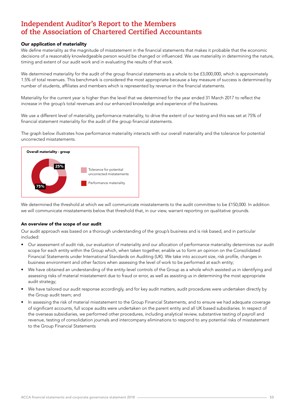#### Our application of materiality

We define materiality as the magnitude of misstatement in the financial statements that makes it probable that the economic decisions of a reasonably knowledgeable person would be changed or influenced. We use materiality in determining the nature, timing and extent of our audit work and in evaluating the results of that work.

We determined materiality for the audit of the group financial statements as a whole to be £3,000,000, which is approximately 1.5% of total revenues. This benchmark is considered the most appropriate because a key measure of success is determined by number of students, affiliates and members which is represented by revenue in the financial statements.

Materiality for the current year is higher than the level that we determined for the year ended 31 March 2017 to reflect the increase in the group's total revenues and our enhanced knowledge and experience of the business.

We use a different level of materiality, performance materiality, to drive the extent of our testing and this was set at 75% of financial statement materiality for the audit of the group financial statements.

The graph below illustrates how performance materiality interacts with our overall materiality and the tolerance for potential uncorrected misstatements.



We determined the threshold at which we will communicate misstatements to the audit committee to be £150,000. In addition we will communicate misstatements below that threshold that, in our view, warrant reporting on qualitative grounds.

#### An overview of the scope of our audit

Our audit approach was based on a thorough understanding of the group's business and is risk based, and in particular included:

- Our assessment of audit risk, our evaluation of materiality and our allocation of performance materiality determines our audit scope for each entity within the Group which, when taken together, enable us to form an opinion on the Consolidated Financial Statements under International Standards on Auditing (UK). We take into account size, risk profile, changes in business environment and other factors when assessing the level of work to be performed at each entity;
- We have obtained an understanding of the entity-level controls of the Group as a whole which assisted us in identifying and assessing risks of material misstatement due to fraud or error, as well as assisting us in determining the most appropriate audit strategy;
- We have tailored our audit response accordingly, and for key audit matters, audit procedures were undertaken directly by the Group audit team; and
- In assessing the risk of material misstatement to the Group Financial Statements, and to ensure we had adequate coverage of significant accounts, full scope audits were undertaken on the parent entity and all UK based subsidiaries. In respect of the overseas subsidiaries, we performed other procedures, including analytical review, substantive testing of payroll and revenue, testing of consolidation journals and intercompany eliminations to respond to any potential risks of misstatement to the Group Financial Statements